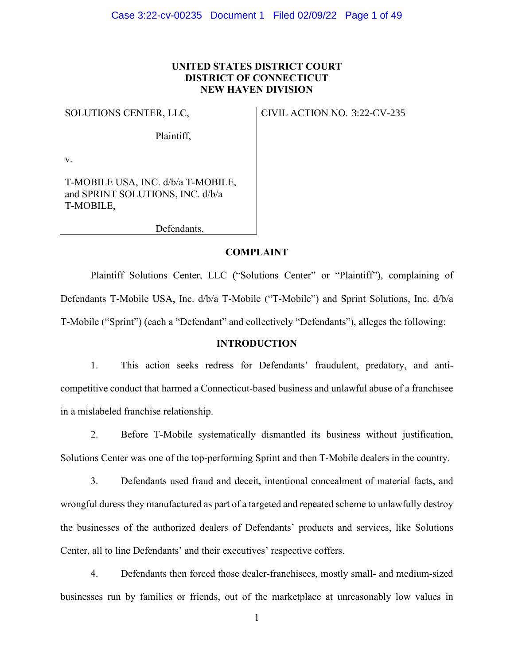# **UNITED STATES DISTRICT COURT DISTRICT OF CONNECTICUT NEW HAVEN DIVISION**

SOLUTIONS CENTER, LLC,

CIVIL ACTION NO. 3:22-CV-235

Plaintiff,

v.

T-MOBILE USA, INC. d/b/a T-MOBILE, and SPRINT SOLUTIONS, INC. d/b/a T-MOBILE,

Defendants.

# **COMPLAINT**

Plaintiff Solutions Center, LLC ("Solutions Center" or "Plaintiff"), complaining of Defendants T-Mobile USA, Inc. d/b/a T-Mobile ("T-Mobile") and Sprint Solutions, Inc. d/b/a T-Mobile ("Sprint") (each a "Defendant" and collectively "Defendants"), alleges the following:

# **INTRODUCTION**

1. This action seeks redress for Defendants' fraudulent, predatory, and anticompetitive conduct that harmed a Connecticut-based business and unlawful abuse of a franchisee in a mislabeled franchise relationship.

2. Before T-Mobile systematically dismantled its business without justification, Solutions Center was one of the top-performing Sprint and then T-Mobile dealers in the country.

3. Defendants used fraud and deceit, intentional concealment of material facts, and wrongful duress they manufactured as part of a targeted and repeated scheme to unlawfully destroy the businesses of the authorized dealers of Defendants' products and services, like Solutions Center, all to line Defendants' and their executives' respective coffers.

4. Defendants then forced those dealer-franchisees, mostly small- and medium-sized businesses run by families or friends, out of the marketplace at unreasonably low values in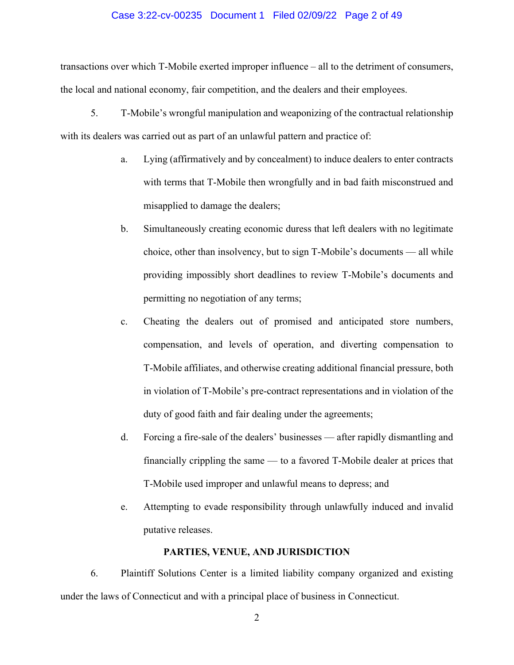#### Case 3:22-cv-00235 Document 1 Filed 02/09/22 Page 2 of 49

transactions over which T-Mobile exerted improper influence – all to the detriment of consumers, the local and national economy, fair competition, and the dealers and their employees.

- 5. T-Mobile's wrongful manipulation and weaponizing of the contractual relationship with its dealers was carried out as part of an unlawful pattern and practice of:
	- a. Lying (affirmatively and by concealment) to induce dealers to enter contracts with terms that T-Mobile then wrongfully and in bad faith misconstrued and misapplied to damage the dealers;
	- b. Simultaneously creating economic duress that left dealers with no legitimate choice, other than insolvency, but to sign T-Mobile's documents — all while providing impossibly short deadlines to review T-Mobile's documents and permitting no negotiation of any terms;
	- c. Cheating the dealers out of promised and anticipated store numbers, compensation, and levels of operation, and diverting compensation to T-Mobile affiliates, and otherwise creating additional financial pressure, both in violation of T-Mobile's pre-contract representations and in violation of the duty of good faith and fair dealing under the agreements;
	- d. Forcing a fire-sale of the dealers' businesses after rapidly dismantling and financially crippling the same — to a favored T-Mobile dealer at prices that T-Mobile used improper and unlawful means to depress; and
	- e. Attempting to evade responsibility through unlawfully induced and invalid putative releases.

# **PARTIES, VENUE, AND JURISDICTION**

6. Plaintiff Solutions Center is a limited liability company organized and existing under the laws of Connecticut and with a principal place of business in Connecticut.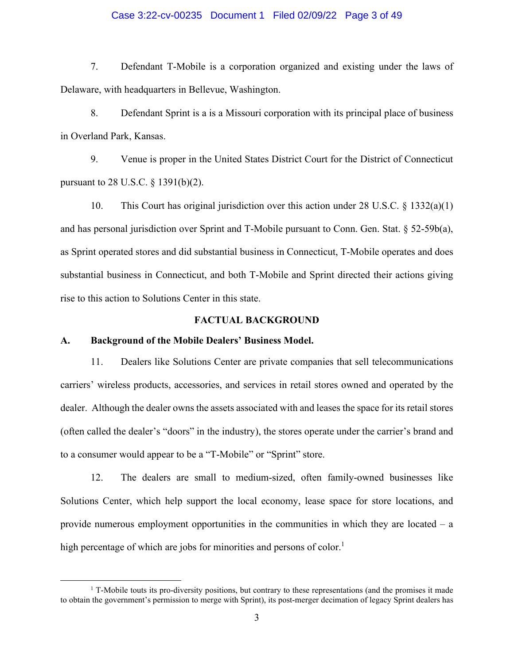# Case 3:22-cv-00235 Document 1 Filed 02/09/22 Page 3 of 49

7. Defendant T-Mobile is a corporation organized and existing under the laws of Delaware, with headquarters in Bellevue, Washington.

8. Defendant Sprint is a is a Missouri corporation with its principal place of business in Overland Park, Kansas.

9. Venue is proper in the United States District Court for the District of Connecticut pursuant to 28 U.S.C. § 1391(b)(2).

10. This Court has original jurisdiction over this action under 28 U.S.C. § 1332(a)(1) and has personal jurisdiction over Sprint and T-Mobile pursuant to Conn. Gen. Stat. § 52-59b(a), as Sprint operated stores and did substantial business in Connecticut, T-Mobile operates and does substantial business in Connecticut, and both T-Mobile and Sprint directed their actions giving rise to this action to Solutions Center in this state.

# **FACTUAL BACKGROUND**

# **A. Background of the Mobile Dealers' Business Model.**

11. Dealers like Solutions Center are private companies that sell telecommunications carriers' wireless products, accessories, and services in retail stores owned and operated by the dealer. Although the dealer owns the assets associated with and leases the space for its retail stores (often called the dealer's "doors" in the industry), the stores operate under the carrier's brand and to a consumer would appear to be a "T-Mobile" or "Sprint" store.

12. The dealers are small to medium-sized, often family-owned businesses like Solutions Center, which help support the local economy, lease space for store locations, and provide numerous employment opportunities in the communities in which they are located – a high percentage of which are jobs for minorities and persons of color.<sup>[1](#page-2-0)</sup>

<span id="page-2-0"></span><sup>&</sup>lt;sup>1</sup> T-Mobile touts its pro-diversity positions, but contrary to these representations (and the promises it made to obtain the government's permission to merge with Sprint), its post-merger decimation of legacy Sprint dealers has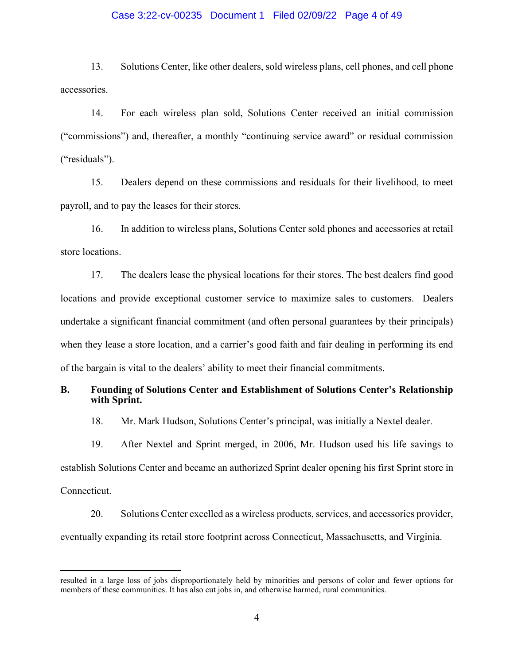# Case 3:22-cv-00235 Document 1 Filed 02/09/22 Page 4 of 49

13. Solutions Center, like other dealers, sold wireless plans, cell phones, and cell phone accessories.

14. For each wireless plan sold, Solutions Center received an initial commission ("commissions") and, thereafter, a monthly "continuing service award" or residual commission ("residuals").

15. Dealers depend on these commissions and residuals for their livelihood, to meet payroll, and to pay the leases for their stores.

16. In addition to wireless plans, Solutions Center sold phones and accessories at retail store locations.

17. The dealers lease the physical locations for their stores. The best dealers find good locations and provide exceptional customer service to maximize sales to customers. Dealers undertake a significant financial commitment (and often personal guarantees by their principals) when they lease a store location, and a carrier's good faith and fair dealing in performing its end of the bargain is vital to the dealers' ability to meet their financial commitments.

# **B. Founding of Solutions Center and Establishment of Solutions Center's Relationship with Sprint.**

18. Mr. Mark Hudson, Solutions Center's principal, was initially a Nextel dealer.

19. After Nextel and Sprint merged, in 2006, Mr. Hudson used his life savings to establish Solutions Center and became an authorized Sprint dealer opening his first Sprint store in Connecticut.

20. Solutions Center excelled as a wireless products, services, and accessories provider, eventually expanding its retail store footprint across Connecticut, Massachusetts, and Virginia.

resulted in a large loss of jobs disproportionately held by minorities and persons of color and fewer options for members of these communities. It has also cut jobs in, and otherwise harmed, rural communities.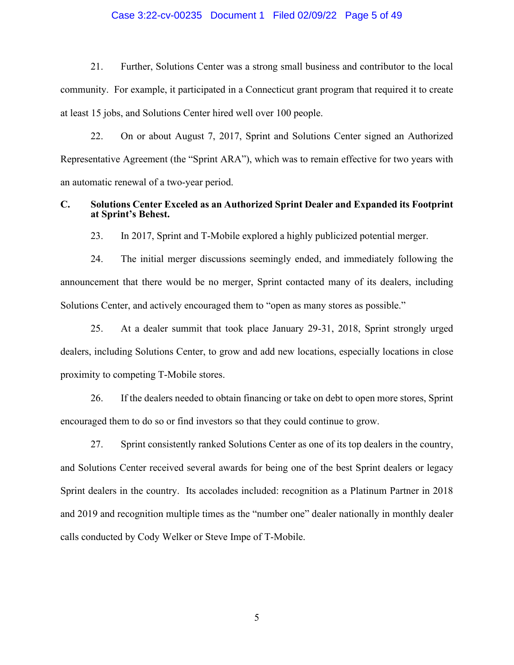#### Case 3:22-cv-00235 Document 1 Filed 02/09/22 Page 5 of 49

21. Further, Solutions Center was a strong small business and contributor to the local community. For example, it participated in a Connecticut grant program that required it to create at least 15 jobs, and Solutions Center hired well over 100 people.

22. On or about August 7, 2017, Sprint and Solutions Center signed an Authorized Representative Agreement (the "Sprint ARA"), which was to remain effective for two years with an automatic renewal of a two-year period.

# **C. Solutions Center Exceled as an Authorized Sprint Dealer and Expanded its Footprint at Sprint's Behest.**

23. In 2017, Sprint and T-Mobile explored a highly publicized potential merger.

24. The initial merger discussions seemingly ended, and immediately following the announcement that there would be no merger, Sprint contacted many of its dealers, including Solutions Center, and actively encouraged them to "open as many stores as possible."

25. At a dealer summit that took place January 29-31, 2018, Sprint strongly urged dealers, including Solutions Center, to grow and add new locations, especially locations in close proximity to competing T-Mobile stores.

26. If the dealers needed to obtain financing or take on debt to open more stores, Sprint encouraged them to do so or find investors so that they could continue to grow.

27. Sprint consistently ranked Solutions Center as one of its top dealers in the country, and Solutions Center received several awards for being one of the best Sprint dealers or legacy Sprint dealers in the country. Its accolades included: recognition as a Platinum Partner in 2018 and 2019 and recognition multiple times as the "number one" dealer nationally in monthly dealer calls conducted by Cody Welker or Steve Impe of T-Mobile.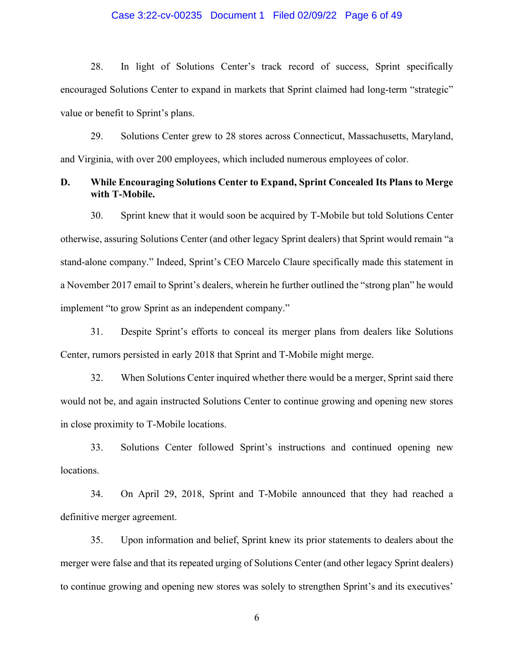# Case 3:22-cv-00235 Document 1 Filed 02/09/22 Page 6 of 49

28. In light of Solutions Center's track record of success, Sprint specifically encouraged Solutions Center to expand in markets that Sprint claimed had long-term "strategic" value or benefit to Sprint's plans.

29. Solutions Center grew to 28 stores across Connecticut, Massachusetts, Maryland, and Virginia, with over 200 employees, which included numerous employees of color.

# **D. While Encouraging Solutions Center to Expand, Sprint Concealed Its Plans to Merge with T-Mobile.**

30. Sprint knew that it would soon be acquired by T-Mobile but told Solutions Center otherwise, assuring Solutions Center (and other legacy Sprint dealers) that Sprint would remain "a stand-alone company." Indeed, Sprint's CEO Marcelo Claure specifically made this statement in a November 2017 email to Sprint's dealers, wherein he further outlined the "strong plan" he would implement "to grow Sprint as an independent company."

31. Despite Sprint's efforts to conceal its merger plans from dealers like Solutions Center, rumors persisted in early 2018 that Sprint and T-Mobile might merge.

32. When Solutions Center inquired whether there would be a merger, Sprint said there would not be, and again instructed Solutions Center to continue growing and opening new stores in close proximity to T-Mobile locations.

33. Solutions Center followed Sprint's instructions and continued opening new locations.

34. On April 29, 2018, Sprint and T-Mobile announced that they had reached a definitive merger agreement.

35. Upon information and belief, Sprint knew its prior statements to dealers about the merger were false and that its repeated urging of Solutions Center (and other legacy Sprint dealers) to continue growing and opening new stores was solely to strengthen Sprint's and its executives'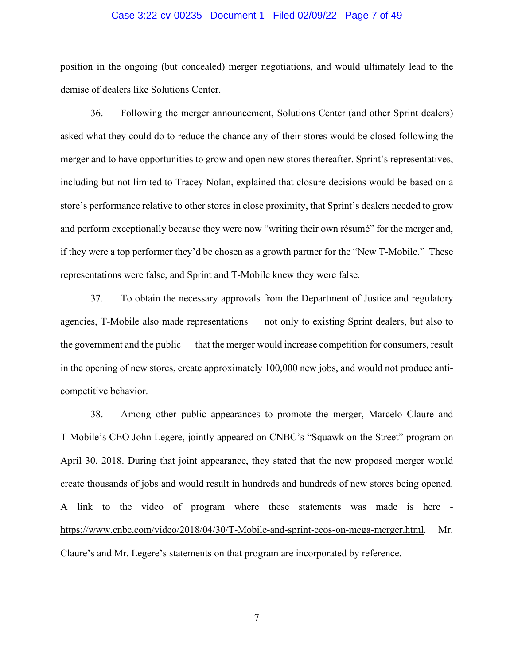#### Case 3:22-cv-00235 Document 1 Filed 02/09/22 Page 7 of 49

position in the ongoing (but concealed) merger negotiations, and would ultimately lead to the demise of dealers like Solutions Center.

36. Following the merger announcement, Solutions Center (and other Sprint dealers) asked what they could do to reduce the chance any of their stores would be closed following the merger and to have opportunities to grow and open new stores thereafter. Sprint's representatives, including but not limited to Tracey Nolan, explained that closure decisions would be based on a store's performance relative to other stores in close proximity, that Sprint's dealers needed to grow and perform exceptionally because they were now "writing their own résumé" for the merger and, if they were a top performer they'd be chosen as a growth partner for the "New T-Mobile." These representations were false, and Sprint and T-Mobile knew they were false.

37. To obtain the necessary approvals from the Department of Justice and regulatory agencies, T-Mobile also made representations — not only to existing Sprint dealers, but also to the government and the public — that the merger would increase competition for consumers, result in the opening of new stores, create approximately 100,000 new jobs, and would not produce anticompetitive behavior.

38. Among other public appearances to promote the merger, Marcelo Claure and T-Mobile's CEO John Legere, jointly appeared on CNBC's "Squawk on the Street" program on April 30, 2018. During that joint appearance, they stated that the new proposed merger would create thousands of jobs and would result in hundreds and hundreds of new stores being opened. A link to the video of program where these statements was made is here [https://www.cnbc.com/video/2018/04/30/T-Mobile-and-sprint-ceos-on-mega-merger.html.](https://www.cnbc.com/video/2018/04/30/t-mobile-and-sprint-ceos-on-mega-merger.html) Mr. Claure's and Mr. Legere's statements on that program are incorporated by reference.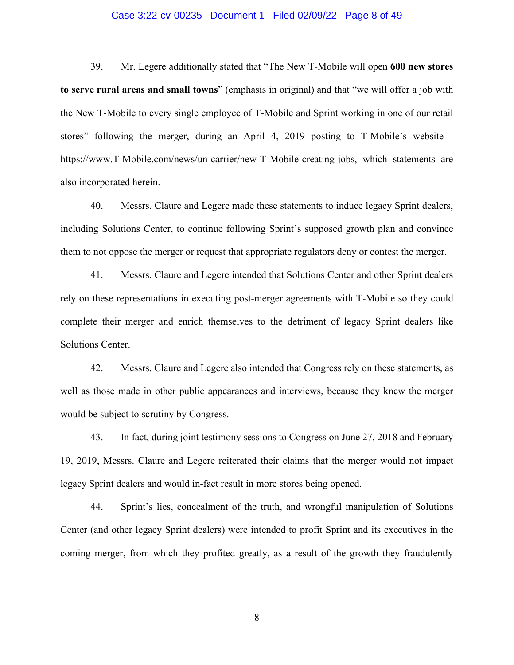# Case 3:22-cv-00235 Document 1 Filed 02/09/22 Page 8 of 49

39. Mr. Legere additionally stated that "The New T-Mobile will open **600 new stores to serve rural areas and small towns**" (emphasis in original) and that "we will offer a job with the New T-Mobile to every single employee of T-Mobile and Sprint working in one of our retail stores" following the merger, during an April 4, 2019 posting to T-Mobile's website [https://www.T-Mobile.com/news/un-carrier/new-T-Mobile-creating-jobs,](https://www.t-mobile.com/news/un-carrier/new-t-mobile-creating-jobs) which statements are also incorporated herein.

40. Messrs. Claure and Legere made these statements to induce legacy Sprint dealers, including Solutions Center, to continue following Sprint's supposed growth plan and convince them to not oppose the merger or request that appropriate regulators deny or contest the merger.

41. Messrs. Claure and Legere intended that Solutions Center and other Sprint dealers rely on these representations in executing post-merger agreements with T-Mobile so they could complete their merger and enrich themselves to the detriment of legacy Sprint dealers like Solutions Center.

42. Messrs. Claure and Legere also intended that Congress rely on these statements, as well as those made in other public appearances and interviews, because they knew the merger would be subject to scrutiny by Congress.

43. In fact, during joint testimony sessions to Congress on June 27, 2018 and February 19, 2019, Messrs. Claure and Legere reiterated their claims that the merger would not impact legacy Sprint dealers and would in-fact result in more stores being opened.

44. Sprint's lies, concealment of the truth, and wrongful manipulation of Solutions Center (and other legacy Sprint dealers) were intended to profit Sprint and its executives in the coming merger, from which they profited greatly, as a result of the growth they fraudulently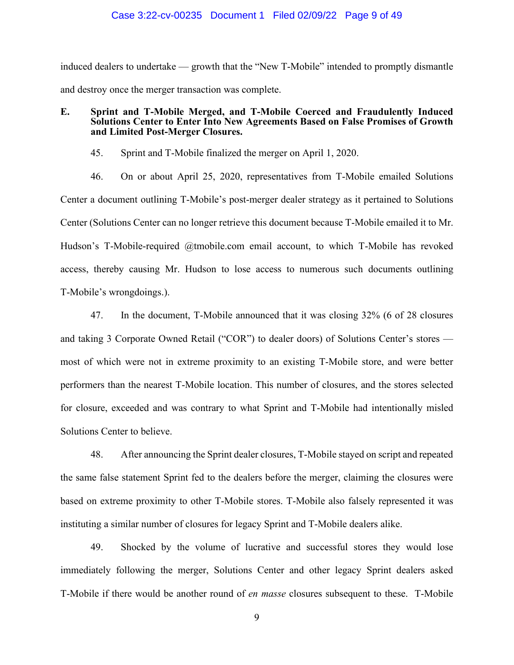#### Case 3:22-cv-00235 Document 1 Filed 02/09/22 Page 9 of 49

induced dealers to undertake — growth that the "New T-Mobile" intended to promptly dismantle and destroy once the merger transaction was complete.

# **E. Sprint and T-Mobile Merged, and T-Mobile Coerced and Fraudulently Induced Solutions Center to Enter Into New Agreements Based on False Promises of Growth and Limited Post-Merger Closures.**

45. Sprint and T-Mobile finalized the merger on April 1, 2020.

46. On or about April 25, 2020, representatives from T-Mobile emailed Solutions Center a document outlining T-Mobile's post-merger dealer strategy as it pertained to Solutions Center (Solutions Center can no longer retrieve this document because T-Mobile emailed it to Mr. Hudson's T-Mobile-required @tmobile.com email account, to which T-Mobile has revoked access, thereby causing Mr. Hudson to lose access to numerous such documents outlining T-Mobile's wrongdoings.).

47. In the document, T-Mobile announced that it was closing 32% (6 of 28 closures and taking 3 Corporate Owned Retail ("COR") to dealer doors) of Solutions Center's stores most of which were not in extreme proximity to an existing T-Mobile store, and were better performers than the nearest T-Mobile location. This number of closures, and the stores selected for closure, exceeded and was contrary to what Sprint and T-Mobile had intentionally misled Solutions Center to believe.

48. After announcing the Sprint dealer closures, T-Mobile stayed on script and repeated the same false statement Sprint fed to the dealers before the merger, claiming the closures were based on extreme proximity to other T-Mobile stores. T-Mobile also falsely represented it was instituting a similar number of closures for legacy Sprint and T-Mobile dealers alike.

49. Shocked by the volume of lucrative and successful stores they would lose immediately following the merger, Solutions Center and other legacy Sprint dealers asked T-Mobile if there would be another round of *en masse* closures subsequent to these. T-Mobile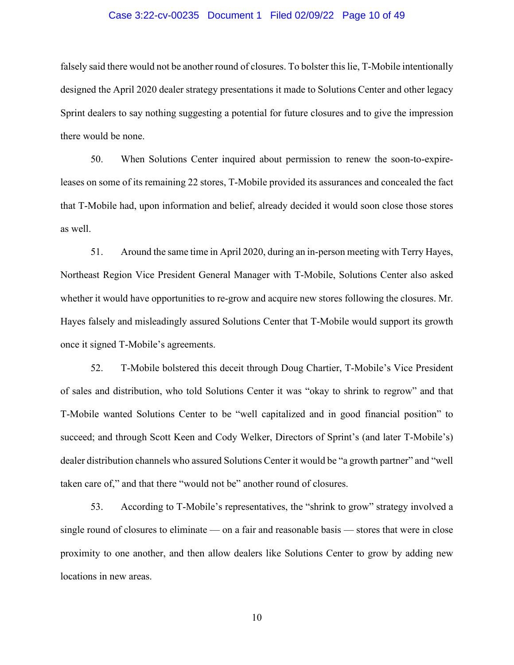# Case 3:22-cv-00235 Document 1 Filed 02/09/22 Page 10 of 49

falsely said there would not be another round of closures. To bolster this lie, T-Mobile intentionally designed the April 2020 dealer strategy presentations it made to Solutions Center and other legacy Sprint dealers to say nothing suggesting a potential for future closures and to give the impression there would be none.

50. When Solutions Center inquired about permission to renew the soon-to-expireleases on some of its remaining 22 stores, T-Mobile provided its assurances and concealed the fact that T-Mobile had, upon information and belief, already decided it would soon close those stores as well.

51. Around the same time in April 2020, during an in-person meeting with Terry Hayes, Northeast Region Vice President General Manager with T-Mobile, Solutions Center also asked whether it would have opportunities to re-grow and acquire new stores following the closures. Mr. Hayes falsely and misleadingly assured Solutions Center that T-Mobile would support its growth once it signed T-Mobile's agreements.

52. T-Mobile bolstered this deceit through Doug Chartier, T-Mobile's Vice President of sales and distribution, who told Solutions Center it was "okay to shrink to regrow" and that T-Mobile wanted Solutions Center to be "well capitalized and in good financial position" to succeed; and through Scott Keen and Cody Welker, Directors of Sprint's (and later T-Mobile's) dealer distribution channels who assured Solutions Center it would be "a growth partner" and "well taken care of," and that there "would not be" another round of closures.

53. According to T-Mobile's representatives, the "shrink to grow" strategy involved a single round of closures to eliminate — on a fair and reasonable basis — stores that were in close proximity to one another, and then allow dealers like Solutions Center to grow by adding new locations in new areas.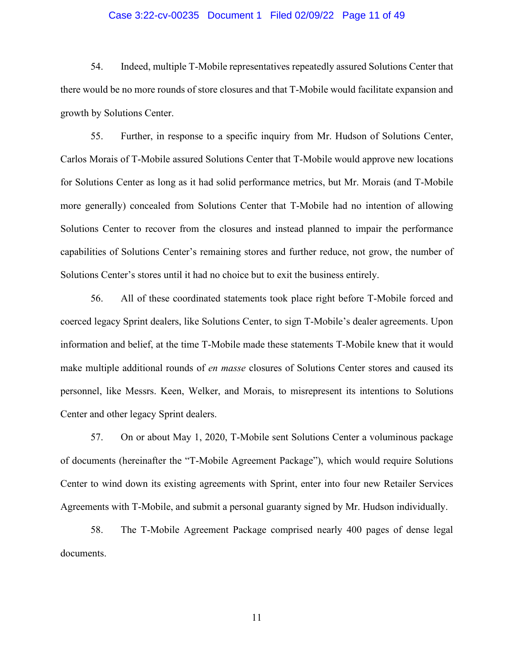# Case 3:22-cv-00235 Document 1 Filed 02/09/22 Page 11 of 49

54. Indeed, multiple T-Mobile representatives repeatedly assured Solutions Center that there would be no more rounds of store closures and that T-Mobile would facilitate expansion and growth by Solutions Center.

55. Further, in response to a specific inquiry from Mr. Hudson of Solutions Center, Carlos Morais of T-Mobile assured Solutions Center that T-Mobile would approve new locations for Solutions Center as long as it had solid performance metrics, but Mr. Morais (and T-Mobile more generally) concealed from Solutions Center that T-Mobile had no intention of allowing Solutions Center to recover from the closures and instead planned to impair the performance capabilities of Solutions Center's remaining stores and further reduce, not grow, the number of Solutions Center's stores until it had no choice but to exit the business entirely.

56. All of these coordinated statements took place right before T-Mobile forced and coerced legacy Sprint dealers, like Solutions Center, to sign T-Mobile's dealer agreements. Upon information and belief, at the time T-Mobile made these statements T-Mobile knew that it would make multiple additional rounds of *en masse* closures of Solutions Center stores and caused its personnel, like Messrs. Keen, Welker, and Morais, to misrepresent its intentions to Solutions Center and other legacy Sprint dealers.

57. On or about May 1, 2020, T-Mobile sent Solutions Center a voluminous package of documents (hereinafter the "T-Mobile Agreement Package"), which would require Solutions Center to wind down its existing agreements with Sprint, enter into four new Retailer Services Agreements with T-Mobile, and submit a personal guaranty signed by Mr. Hudson individually.

58. The T-Mobile Agreement Package comprised nearly 400 pages of dense legal documents.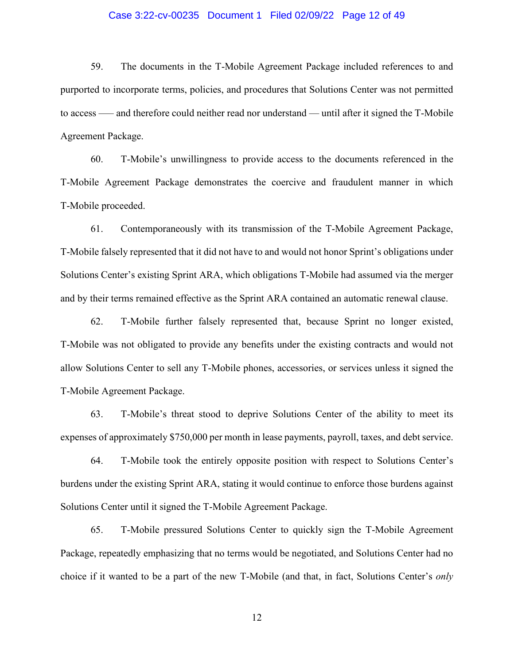# Case 3:22-cv-00235 Document 1 Filed 02/09/22 Page 12 of 49

59. The documents in the T-Mobile Agreement Package included references to and purported to incorporate terms, policies, and procedures that Solutions Center was not permitted to access —– and therefore could neither read nor understand — until after it signed the T-Mobile Agreement Package.

60. T-Mobile's unwillingness to provide access to the documents referenced in the T-Mobile Agreement Package demonstrates the coercive and fraudulent manner in which T-Mobile proceeded.

61. Contemporaneously with its transmission of the T-Mobile Agreement Package, T-Mobile falsely represented that it did not have to and would not honor Sprint's obligations under Solutions Center's existing Sprint ARA, which obligations T-Mobile had assumed via the merger and by their terms remained effective as the Sprint ARA contained an automatic renewal clause.

62. T-Mobile further falsely represented that, because Sprint no longer existed, T-Mobile was not obligated to provide any benefits under the existing contracts and would not allow Solutions Center to sell any T-Mobile phones, accessories, or services unless it signed the T-Mobile Agreement Package.

63. T-Mobile's threat stood to deprive Solutions Center of the ability to meet its expenses of approximately \$750,000 per month in lease payments, payroll, taxes, and debt service.

64. T-Mobile took the entirely opposite position with respect to Solutions Center's burdens under the existing Sprint ARA, stating it would continue to enforce those burdens against Solutions Center until it signed the T-Mobile Agreement Package.

65. T-Mobile pressured Solutions Center to quickly sign the T-Mobile Agreement Package, repeatedly emphasizing that no terms would be negotiated, and Solutions Center had no choice if it wanted to be a part of the new T-Mobile (and that, in fact, Solutions Center's *only*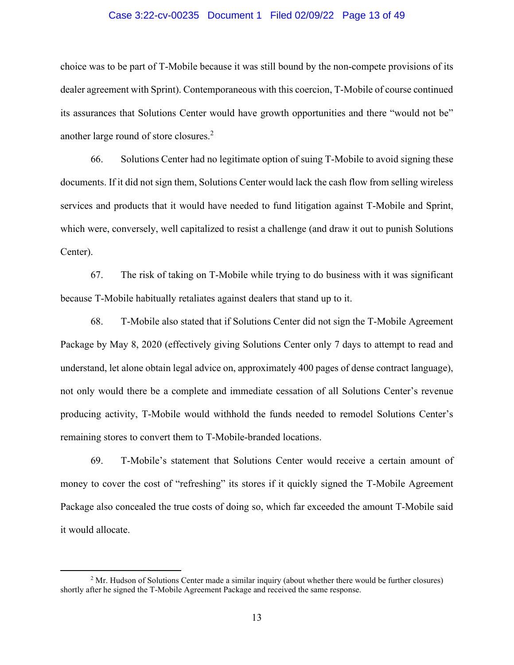#### Case 3:22-cv-00235 Document 1 Filed 02/09/22 Page 13 of 49

choice was to be part of T-Mobile because it was still bound by the non-compete provisions of its dealer agreement with Sprint). Contemporaneous with this coercion, T-Mobile of course continued its assurances that Solutions Center would have growth opportunities and there "would not be" another large round of store closures[.](#page-12-0)<sup>2</sup>

66. Solutions Center had no legitimate option of suing T-Mobile to avoid signing these documents. If it did not sign them, Solutions Center would lack the cash flow from selling wireless services and products that it would have needed to fund litigation against T-Mobile and Sprint, which were, conversely, well capitalized to resist a challenge (and draw it out to punish Solutions Center).

67. The risk of taking on T-Mobile while trying to do business with it was significant because T-Mobile habitually retaliates against dealers that stand up to it.

68. T-Mobile also stated that if Solutions Center did not sign the T-Mobile Agreement Package by May 8, 2020 (effectively giving Solutions Center only 7 days to attempt to read and understand, let alone obtain legal advice on, approximately 400 pages of dense contract language), not only would there be a complete and immediate cessation of all Solutions Center's revenue producing activity, T-Mobile would withhold the funds needed to remodel Solutions Center's remaining stores to convert them to T-Mobile-branded locations.

69. T-Mobile's statement that Solutions Center would receive a certain amount of money to cover the cost of "refreshing" its stores if it quickly signed the T-Mobile Agreement Package also concealed the true costs of doing so, which far exceeded the amount T-Mobile said it would allocate.

<span id="page-12-0"></span> $2<sup>2</sup>$  Mr. Hudson of Solutions Center made a similar inquiry (about whether there would be further closures) shortly after he signed the T-Mobile Agreement Package and received the same response.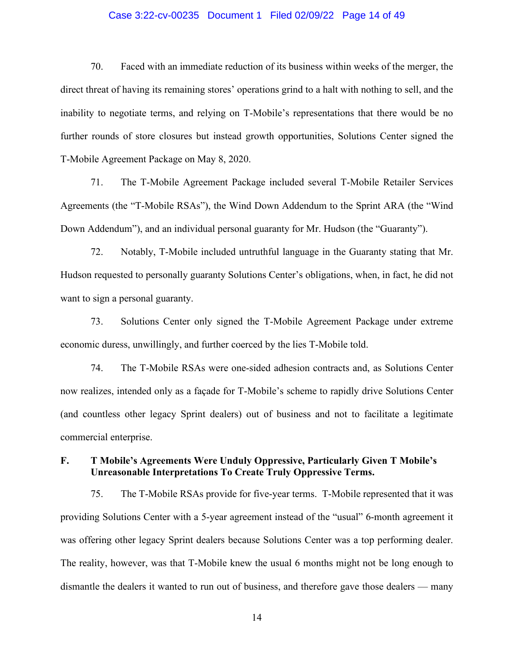# Case 3:22-cv-00235 Document 1 Filed 02/09/22 Page 14 of 49

70. Faced with an immediate reduction of its business within weeks of the merger, the direct threat of having its remaining stores' operations grind to a halt with nothing to sell, and the inability to negotiate terms, and relying on T-Mobile's representations that there would be no further rounds of store closures but instead growth opportunities, Solutions Center signed the T-Mobile Agreement Package on May 8, 2020.

71. The T-Mobile Agreement Package included several T-Mobile Retailer Services Agreements (the "T-Mobile RSAs"), the Wind Down Addendum to the Sprint ARA (the "Wind Down Addendum"), and an individual personal guaranty for Mr. Hudson (the "Guaranty").

72. Notably, T-Mobile included untruthful language in the Guaranty stating that Mr. Hudson requested to personally guaranty Solutions Center's obligations, when, in fact, he did not want to sign a personal guaranty.

73. Solutions Center only signed the T-Mobile Agreement Package under extreme economic duress, unwillingly, and further coerced by the lies T-Mobile told.

74. The T-Mobile RSAs were one-sided adhesion contracts and, as Solutions Center now realizes, intended only as a façade for T-Mobile's scheme to rapidly drive Solutions Center (and countless other legacy Sprint dealers) out of business and not to facilitate a legitimate commercial enterprise.

# **F. T Mobile's Agreements Were Unduly Oppressive, Particularly Given T Mobile's Unreasonable Interpretations To Create Truly Oppressive Terms.**

75. The T-Mobile RSAs provide for five-year terms. T-Mobile represented that it was providing Solutions Center with a 5-year agreement instead of the "usual" 6-month agreement it was offering other legacy Sprint dealers because Solutions Center was a top performing dealer. The reality, however, was that T-Mobile knew the usual 6 months might not be long enough to dismantle the dealers it wanted to run out of business, and therefore gave those dealers — many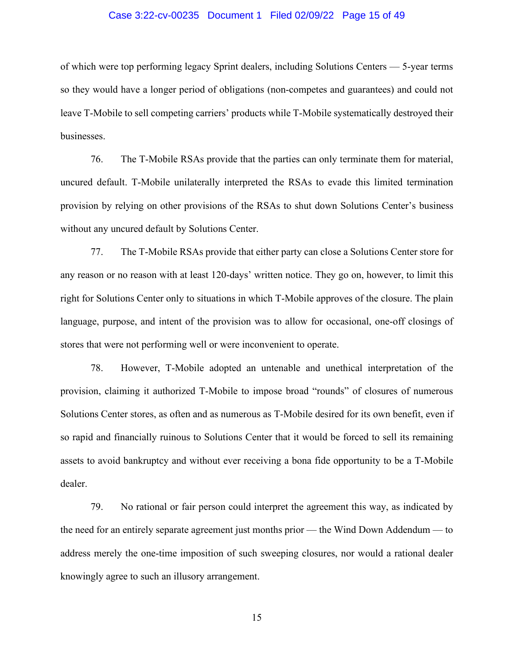# Case 3:22-cv-00235 Document 1 Filed 02/09/22 Page 15 of 49

of which were top performing legacy Sprint dealers, including Solutions Centers — 5-year terms so they would have a longer period of obligations (non-competes and guarantees) and could not leave T-Mobile to sell competing carriers' products while T-Mobile systematically destroyed their businesses.

76. The T-Mobile RSAs provide that the parties can only terminate them for material, uncured default. T-Mobile unilaterally interpreted the RSAs to evade this limited termination provision by relying on other provisions of the RSAs to shut down Solutions Center's business without any uncured default by Solutions Center.

77. The T-Mobile RSAs provide that either party can close a Solutions Center store for any reason or no reason with at least 120-days' written notice. They go on, however, to limit this right for Solutions Center only to situations in which T-Mobile approves of the closure. The plain language, purpose, and intent of the provision was to allow for occasional, one-off closings of stores that were not performing well or were inconvenient to operate.

78. However, T-Mobile adopted an untenable and unethical interpretation of the provision, claiming it authorized T-Mobile to impose broad "rounds" of closures of numerous Solutions Center stores, as often and as numerous as T-Mobile desired for its own benefit, even if so rapid and financially ruinous to Solutions Center that it would be forced to sell its remaining assets to avoid bankruptcy and without ever receiving a bona fide opportunity to be a T-Mobile dealer.

79. No rational or fair person could interpret the agreement this way, as indicated by the need for an entirely separate agreement just months prior — the Wind Down Addendum — to address merely the one-time imposition of such sweeping closures, nor would a rational dealer knowingly agree to such an illusory arrangement.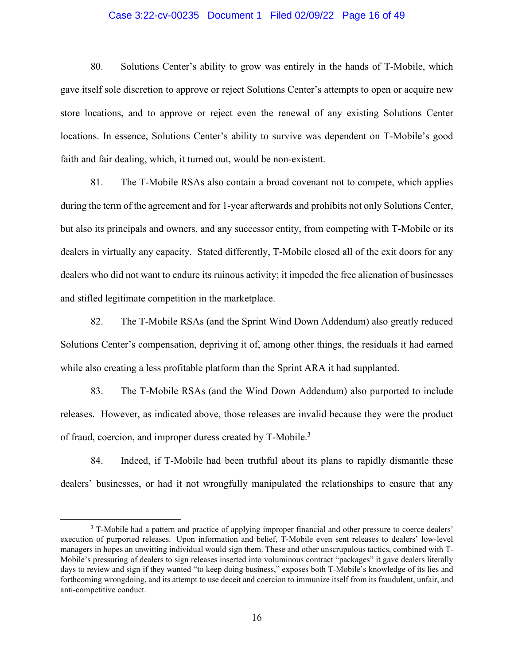# Case 3:22-cv-00235 Document 1 Filed 02/09/22 Page 16 of 49

80. Solutions Center's ability to grow was entirely in the hands of T-Mobile, which gave itself sole discretion to approve or reject Solutions Center's attempts to open or acquire new store locations, and to approve or reject even the renewal of any existing Solutions Center locations. In essence, Solutions Center's ability to survive was dependent on T-Mobile's good faith and fair dealing, which, it turned out, would be non-existent.

81. The T-Mobile RSAs also contain a broad covenant not to compete, which applies during the term of the agreement and for 1-year afterwards and prohibits not only Solutions Center, but also its principals and owners, and any successor entity, from competing with T-Mobile or its dealers in virtually any capacity. Stated differently, T-Mobile closed all of the exit doors for any dealers who did not want to endure its ruinous activity; it impeded the free alienation of businesses and stifled legitimate competition in the marketplace.

82. The T-Mobile RSAs (and the Sprint Wind Down Addendum) also greatly reduced Solutions Center's compensation, depriving it of, among other things, the residuals it had earned while also creating a less profitable platform than the Sprint ARA it had supplanted.

83. The T-Mobile RSAs (and the Wind Down Addendum) also purported to include releases. However, as indicated above, those releases are invalid because they were the product of fraud, coercion, and improper duress created by T-Mobile.<sup>[3](#page-15-0)</sup>

84. Indeed, if T-Mobile had been truthful about its plans to rapidly dismantle these dealers' businesses, or had it not wrongfully manipulated the relationships to ensure that any

<span id="page-15-0"></span><sup>&</sup>lt;sup>3</sup> T-Mobile had a pattern and practice of applying improper financial and other pressure to coerce dealers' execution of purported releases. Upon information and belief, T-Mobile even sent releases to dealers' low-level managers in hopes an unwitting individual would sign them. These and other unscrupulous tactics, combined with T-Mobile's pressuring of dealers to sign releases inserted into voluminous contract "packages" it gave dealers literally days to review and sign if they wanted "to keep doing business," exposes both T-Mobile's knowledge of its lies and forthcoming wrongdoing, and its attempt to use deceit and coercion to immunize itself from its fraudulent, unfair, and anti-competitive conduct.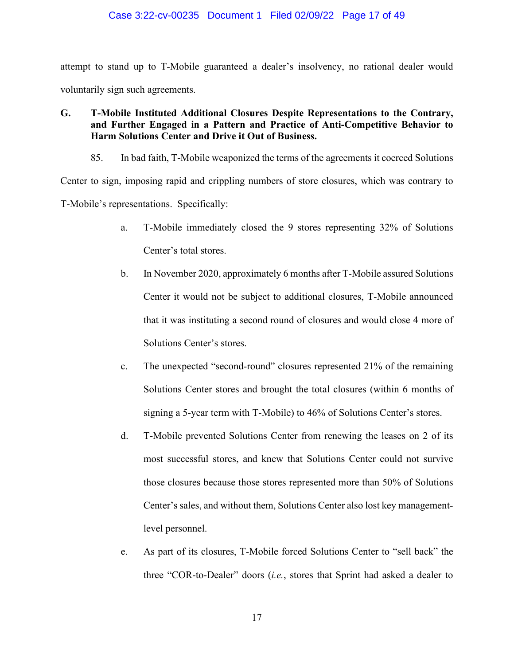attempt to stand up to T-Mobile guaranteed a dealer's insolvency, no rational dealer would voluntarily sign such agreements.

# **G. T-Mobile Instituted Additional Closures Despite Representations to the Contrary, and Further Engaged in a Pattern and Practice of Anti-Competitive Behavior to Harm Solutions Center and Drive it Out of Business.**

85. In bad faith, T-Mobile weaponized the terms of the agreements it coerced Solutions Center to sign, imposing rapid and crippling numbers of store closures, which was contrary to T-Mobile's representations. Specifically:

- a. T-Mobile immediately closed the 9 stores representing 32% of Solutions Center's total stores.
- b. In November 2020, approximately 6 months after T-Mobile assured Solutions Center it would not be subject to additional closures, T-Mobile announced that it was instituting a second round of closures and would close 4 more of Solutions Center's stores.
- c. The unexpected "second-round" closures represented 21% of the remaining Solutions Center stores and brought the total closures (within 6 months of signing a 5-year term with T-Mobile) to 46% of Solutions Center's stores.
- d. T-Mobile prevented Solutions Center from renewing the leases on 2 of its most successful stores, and knew that Solutions Center could not survive those closures because those stores represented more than 50% of Solutions Center's sales, and without them, Solutions Center also lost key managementlevel personnel.
- e. As part of its closures, T-Mobile forced Solutions Center to "sell back" the three "COR-to-Dealer" doors (*i.e.*, stores that Sprint had asked a dealer to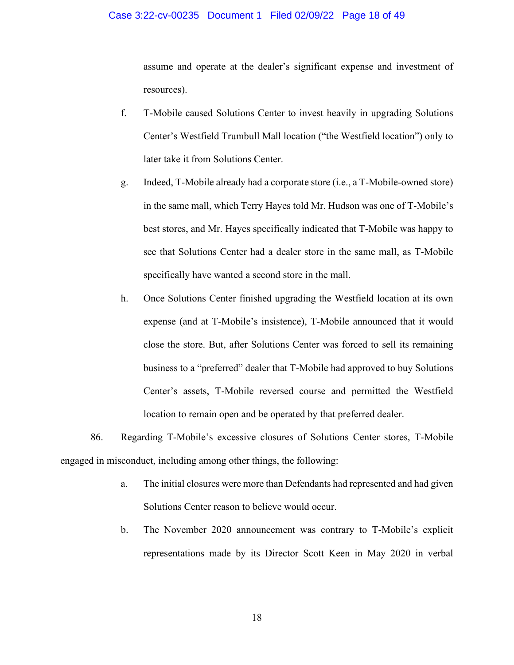# Case 3:22-cv-00235 Document 1 Filed 02/09/22 Page 18 of 49

assume and operate at the dealer's significant expense and investment of resources).

- f. T-Mobile caused Solutions Center to invest heavily in upgrading Solutions Center's Westfield Trumbull Mall location ("the Westfield location") only to later take it from Solutions Center.
- g. Indeed, T-Mobile already had a corporate store (i.e., a T-Mobile-owned store) in the same mall, which Terry Hayes told Mr. Hudson was one of T-Mobile's best stores, and Mr. Hayes specifically indicated that T-Mobile was happy to see that Solutions Center had a dealer store in the same mall, as T-Mobile specifically have wanted a second store in the mall.
- h. Once Solutions Center finished upgrading the Westfield location at its own expense (and at T-Mobile's insistence), T-Mobile announced that it would close the store. But, after Solutions Center was forced to sell its remaining business to a "preferred" dealer that T-Mobile had approved to buy Solutions Center's assets, T-Mobile reversed course and permitted the Westfield location to remain open and be operated by that preferred dealer.
- 86. Regarding T-Mobile's excessive closures of Solutions Center stores, T-Mobile engaged in misconduct, including among other things, the following:
	- a. The initial closures were more than Defendants had represented and had given Solutions Center reason to believe would occur.
	- b. The November 2020 announcement was contrary to T-Mobile's explicit representations made by its Director Scott Keen in May 2020 in verbal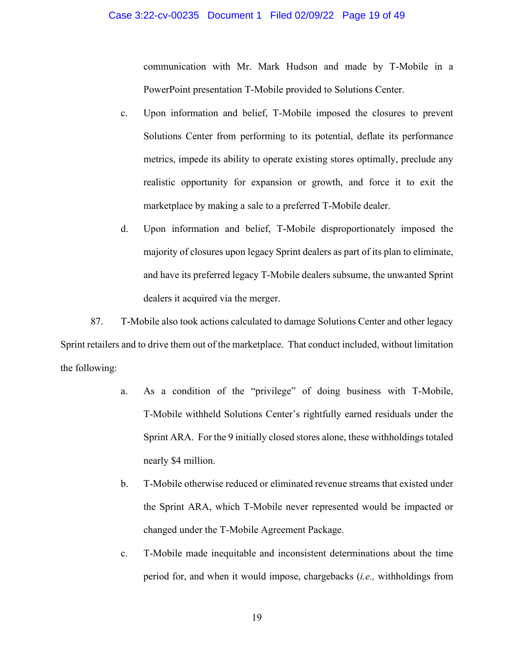communication with Mr. Mark Hudson and made by T-Mobile in a PowerPoint presentation T-Mobile provided to Solutions Center.

- c. Upon information and belief, T-Mobile imposed the closures to prevent Solutions Center from performing to its potential, deflate its performance metrics, impede its ability to operate existing stores optimally, preclude any realistic opportunity for expansion or growth, and force it to exit the marketplace by making a sale to a preferred T-Mobile dealer.
- d. Upon information and belief, T-Mobile disproportionately imposed the majority of closures upon legacy Sprint dealers as part of its plan to eliminate, and have its preferred legacy T-Mobile dealers subsume, the unwanted Sprint dealers it acquired via the merger.

87. T-Mobile also took actions calculated to damage Solutions Center and other legacy Sprint retailers and to drive them out of the marketplace. That conduct included, without limitation the following:

- a. As a condition of the "privilege" of doing business with T-Mobile, T-Mobile withheld Solutions Center's rightfully earned residuals under the Sprint ARA. For the 9 initially closed stores alone, these withholdings totaled nearly \$4 million.
- b. T-Mobile otherwise reduced or eliminated revenue streams that existed under the Sprint ARA, which T-Mobile never represented would be impacted or changed under the T-Mobile Agreement Package.
- c. T-Mobile made inequitable and inconsistent determinations about the time period for, and when it would impose, chargebacks (*i.e.,* withholdings from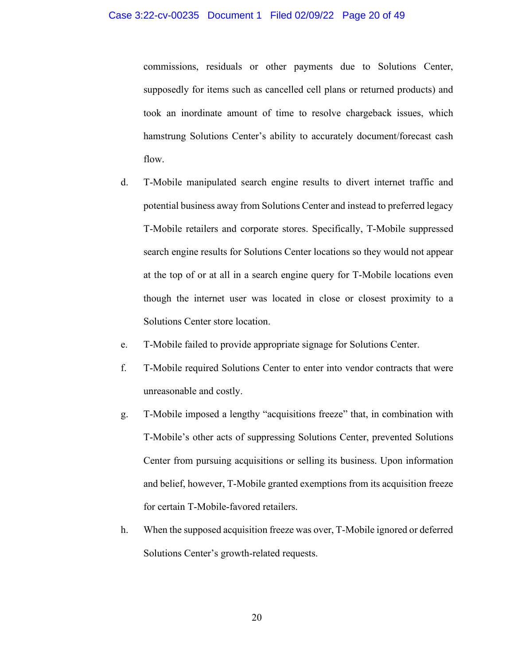commissions, residuals or other payments due to Solutions Center, supposedly for items such as cancelled cell plans or returned products) and took an inordinate amount of time to resolve chargeback issues, which hamstrung Solutions Center's ability to accurately document/forecast cash flow.

- d. T-Mobile manipulated search engine results to divert internet traffic and potential business away from Solutions Center and instead to preferred legacy T-Mobile retailers and corporate stores. Specifically, T-Mobile suppressed search engine results for Solutions Center locations so they would not appear at the top of or at all in a search engine query for T-Mobile locations even though the internet user was located in close or closest proximity to a Solutions Center store location.
- e. T-Mobile failed to provide appropriate signage for Solutions Center.
- f. T-Mobile required Solutions Center to enter into vendor contracts that were unreasonable and costly.
- g. T-Mobile imposed a lengthy "acquisitions freeze" that, in combination with T-Mobile's other acts of suppressing Solutions Center, prevented Solutions Center from pursuing acquisitions or selling its business. Upon information and belief, however, T-Mobile granted exemptions from its acquisition freeze for certain T-Mobile-favored retailers.
- h. When the supposed acquisition freeze was over, T-Mobile ignored or deferred Solutions Center's growth-related requests.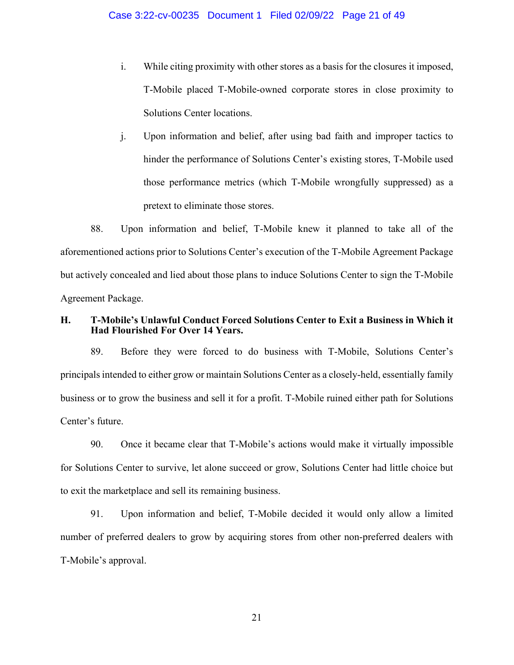- i. While citing proximity with other stores as a basis for the closures it imposed, T-Mobile placed T-Mobile-owned corporate stores in close proximity to Solutions Center locations.
- j. Upon information and belief, after using bad faith and improper tactics to hinder the performance of Solutions Center's existing stores, T-Mobile used those performance metrics (which T-Mobile wrongfully suppressed) as a pretext to eliminate those stores.

88. Upon information and belief, T-Mobile knew it planned to take all of the aforementioned actions prior to Solutions Center's execution of the T-Mobile Agreement Package but actively concealed and lied about those plans to induce Solutions Center to sign the T-Mobile Agreement Package.

# **H. T-Mobile's Unlawful Conduct Forced Solutions Center to Exit a Business in Which it Had Flourished For Over 14 Years.**

89. Before they were forced to do business with T-Mobile, Solutions Center's principals intended to either grow or maintain Solutions Center as a closely-held, essentially family business or to grow the business and sell it for a profit. T-Mobile ruined either path for Solutions Center's future.

90. Once it became clear that T-Mobile's actions would make it virtually impossible for Solutions Center to survive, let alone succeed or grow, Solutions Center had little choice but to exit the marketplace and sell its remaining business.

91. Upon information and belief, T-Mobile decided it would only allow a limited number of preferred dealers to grow by acquiring stores from other non-preferred dealers with T-Mobile's approval.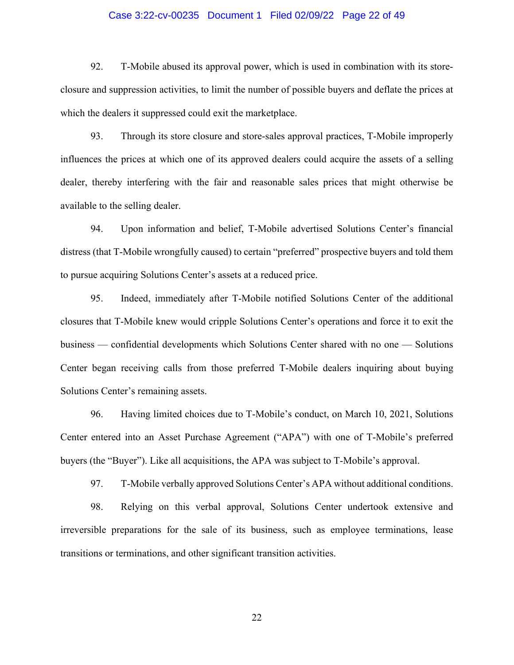# Case 3:22-cv-00235 Document 1 Filed 02/09/22 Page 22 of 49

92. T-Mobile abused its approval power, which is used in combination with its storeclosure and suppression activities, to limit the number of possible buyers and deflate the prices at which the dealers it suppressed could exit the marketplace.

93. Through its store closure and store-sales approval practices, T-Mobile improperly influences the prices at which one of its approved dealers could acquire the assets of a selling dealer, thereby interfering with the fair and reasonable sales prices that might otherwise be available to the selling dealer.

94. Upon information and belief, T-Mobile advertised Solutions Center's financial distress (that T-Mobile wrongfully caused) to certain "preferred" prospective buyers and told them to pursue acquiring Solutions Center's assets at a reduced price.

95. Indeed, immediately after T-Mobile notified Solutions Center of the additional closures that T-Mobile knew would cripple Solutions Center's operations and force it to exit the business — confidential developments which Solutions Center shared with no one — Solutions Center began receiving calls from those preferred T-Mobile dealers inquiring about buying Solutions Center's remaining assets.

96. Having limited choices due to T-Mobile's conduct, on March 10, 2021, Solutions Center entered into an Asset Purchase Agreement ("APA") with one of T-Mobile's preferred buyers (the "Buyer"). Like all acquisitions, the APA was subject to T-Mobile's approval.

97. T-Mobile verbally approved Solutions Center's APA without additional conditions.

98. Relying on this verbal approval, Solutions Center undertook extensive and irreversible preparations for the sale of its business, such as employee terminations, lease transitions or terminations, and other significant transition activities.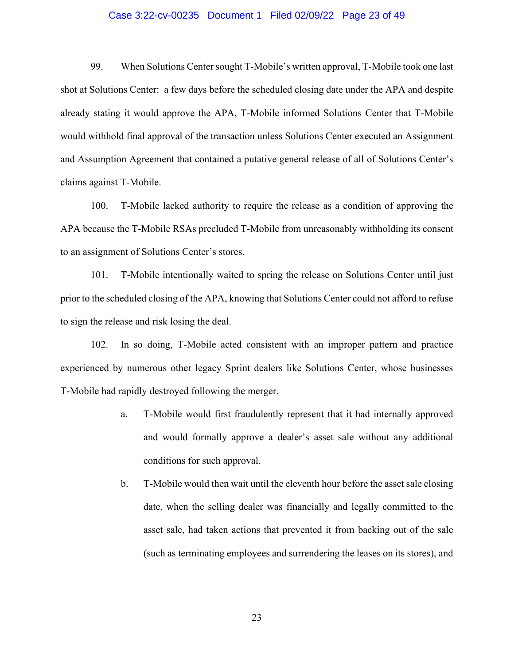# Case 3:22-cv-00235 Document 1 Filed 02/09/22 Page 23 of 49

99. When Solutions Center sought T-Mobile's written approval, T-Mobile took one last shot at Solutions Center: a few days before the scheduled closing date under the APA and despite already stating it would approve the APA, T-Mobile informed Solutions Center that T-Mobile would withhold final approval of the transaction unless Solutions Center executed an Assignment and Assumption Agreement that contained a putative general release of all of Solutions Center's claims against T-Mobile.

100. T-Mobile lacked authority to require the release as a condition of approving the APA because the T-Mobile RSAs precluded T-Mobile from unreasonably withholding its consent to an assignment of Solutions Center's stores.

101. T-Mobile intentionally waited to spring the release on Solutions Center until just prior to the scheduled closing of the APA, knowing that Solutions Center could not afford to refuse to sign the release and risk losing the deal.

102. In so doing, T-Mobile acted consistent with an improper pattern and practice experienced by numerous other legacy Sprint dealers like Solutions Center, whose businesses T-Mobile had rapidly destroyed following the merger.

- a. T-Mobile would first fraudulently represent that it had internally approved and would formally approve a dealer's asset sale without any additional conditions for such approval.
- b. T-Mobile would then wait until the eleventh hour before the asset sale closing date, when the selling dealer was financially and legally committed to the asset sale, had taken actions that prevented it from backing out of the sale (such as terminating employees and surrendering the leases on its stores), and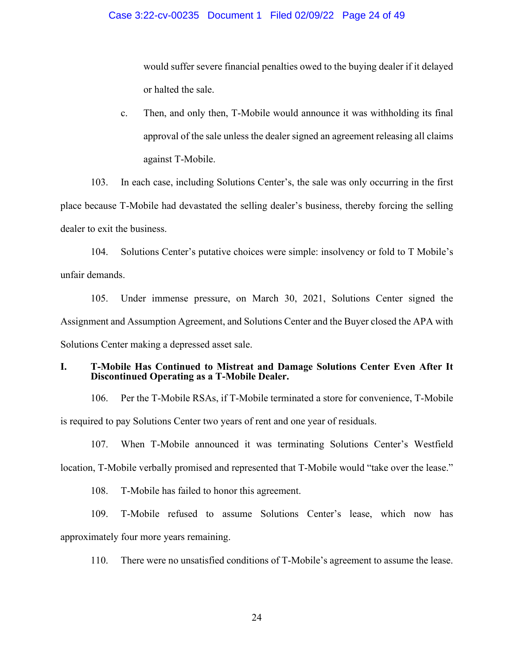would suffer severe financial penalties owed to the buying dealer if it delayed or halted the sale.

c. Then, and only then, T-Mobile would announce it was withholding its final approval of the sale unless the dealer signed an agreement releasing all claims against T-Mobile.

103. In each case, including Solutions Center's, the sale was only occurring in the first place because T-Mobile had devastated the selling dealer's business, thereby forcing the selling dealer to exit the business.

104. Solutions Center's putative choices were simple: insolvency or fold to T Mobile's unfair demands.

105. Under immense pressure, on March 30, 2021, Solutions Center signed the Assignment and Assumption Agreement, and Solutions Center and the Buyer closed the APA with Solutions Center making a depressed asset sale.

# **I. T-Mobile Has Continued to Mistreat and Damage Solutions Center Even After It Discontinued Operating as a T-Mobile Dealer.**

106. Per the T-Mobile RSAs, if T-Mobile terminated a store for convenience, T-Mobile is required to pay Solutions Center two years of rent and one year of residuals.

107. When T-Mobile announced it was terminating Solutions Center's Westfield location, T-Mobile verbally promised and represented that T-Mobile would "take over the lease."

108. T-Mobile has failed to honor this agreement.

109. T-Mobile refused to assume Solutions Center's lease, which now has approximately four more years remaining.

110. There were no unsatisfied conditions of T-Mobile's agreement to assume the lease.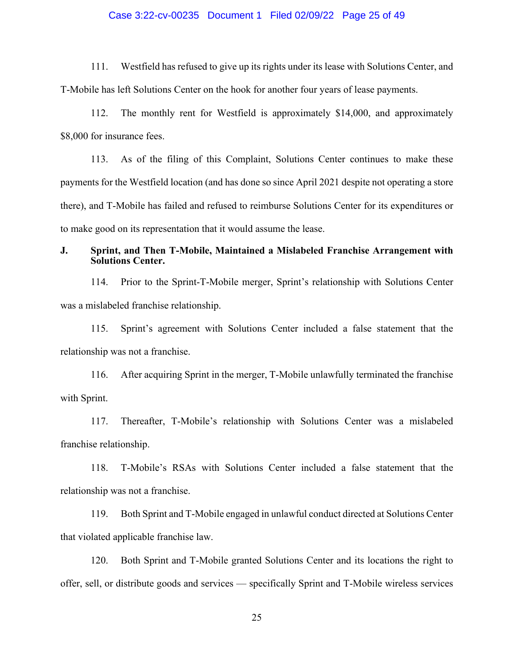# Case 3:22-cv-00235 Document 1 Filed 02/09/22 Page 25 of 49

111. Westfield has refused to give up its rights under its lease with Solutions Center, and T-Mobile has left Solutions Center on the hook for another four years of lease payments.

112. The monthly rent for Westfield is approximately \$14,000, and approximately \$8,000 for insurance fees.

113. As of the filing of this Complaint, Solutions Center continues to make these payments for the Westfield location (and has done so since April 2021 despite not operating a store there), and T-Mobile has failed and refused to reimburse Solutions Center for its expenditures or to make good on its representation that it would assume the lease.

# **J. Sprint, and Then T-Mobile, Maintained a Mislabeled Franchise Arrangement with Solutions Center.**

114. Prior to the Sprint-T-Mobile merger, Sprint's relationship with Solutions Center was a mislabeled franchise relationship.

115. Sprint's agreement with Solutions Center included a false statement that the relationship was not a franchise.

116. After acquiring Sprint in the merger, T-Mobile unlawfully terminated the franchise with Sprint.

117. Thereafter, T-Mobile's relationship with Solutions Center was a mislabeled franchise relationship.

118. T-Mobile's RSAs with Solutions Center included a false statement that the relationship was not a franchise.

119. Both Sprint and T-Mobile engaged in unlawful conduct directed at Solutions Center that violated applicable franchise law.

120. Both Sprint and T-Mobile granted Solutions Center and its locations the right to offer, sell, or distribute goods and services — specifically Sprint and T-Mobile wireless services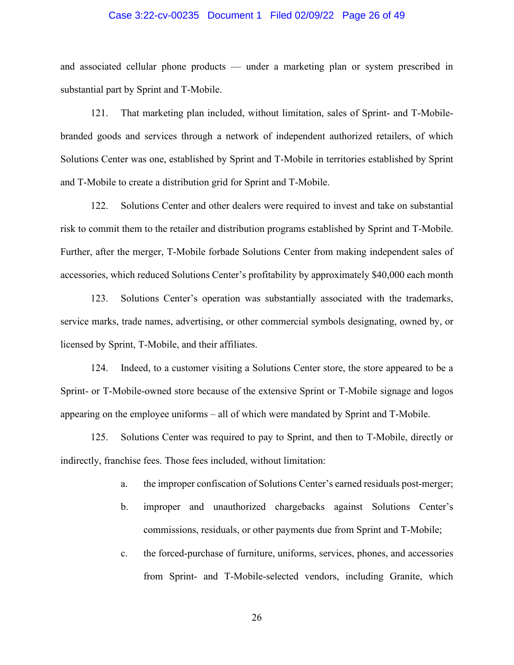## Case 3:22-cv-00235 Document 1 Filed 02/09/22 Page 26 of 49

and associated cellular phone products — under a marketing plan or system prescribed in substantial part by Sprint and T-Mobile.

121. That marketing plan included, without limitation, sales of Sprint- and T-Mobilebranded goods and services through a network of independent authorized retailers, of which Solutions Center was one, established by Sprint and T-Mobile in territories established by Sprint and T-Mobile to create a distribution grid for Sprint and T-Mobile.

122. Solutions Center and other dealers were required to invest and take on substantial risk to commit them to the retailer and distribution programs established by Sprint and T-Mobile. Further, after the merger, T-Mobile forbade Solutions Center from making independent sales of accessories, which reduced Solutions Center's profitability by approximately \$40,000 each month

123. Solutions Center's operation was substantially associated with the trademarks, service marks, trade names, advertising, or other commercial symbols designating, owned by, or licensed by Sprint, T-Mobile, and their affiliates.

124. Indeed, to a customer visiting a Solutions Center store, the store appeared to be a Sprint- or T-Mobile-owned store because of the extensive Sprint or T-Mobile signage and logos appearing on the employee uniforms – all of which were mandated by Sprint and T-Mobile.

125. Solutions Center was required to pay to Sprint, and then to T-Mobile, directly or indirectly, franchise fees. Those fees included, without limitation:

- a. the improper confiscation of Solutions Center's earned residuals post-merger;
- b. improper and unauthorized chargebacks against Solutions Center's commissions, residuals, or other payments due from Sprint and T-Mobile;
- c. the forced-purchase of furniture, uniforms, services, phones, and accessories from Sprint- and T-Mobile-selected vendors, including Granite, which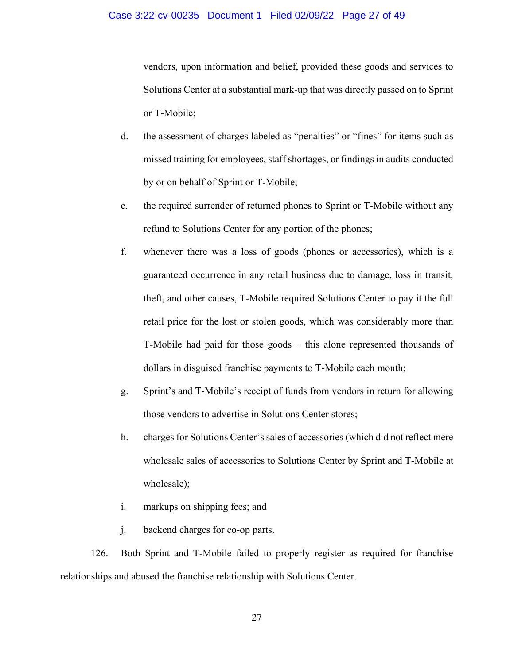vendors, upon information and belief, provided these goods and services to Solutions Center at a substantial mark-up that was directly passed on to Sprint or T-Mobile;

- d. the assessment of charges labeled as "penalties" or "fines" for items such as missed training for employees, staff shortages, or findings in audits conducted by or on behalf of Sprint or T-Mobile;
- e. the required surrender of returned phones to Sprint or T-Mobile without any refund to Solutions Center for any portion of the phones;
- f. whenever there was a loss of goods (phones or accessories), which is a guaranteed occurrence in any retail business due to damage, loss in transit, theft, and other causes, T-Mobile required Solutions Center to pay it the full retail price for the lost or stolen goods, which was considerably more than T-Mobile had paid for those goods – this alone represented thousands of dollars in disguised franchise payments to T-Mobile each month;
- g. Sprint's and T-Mobile's receipt of funds from vendors in return for allowing those vendors to advertise in Solutions Center stores;
- h. charges for Solutions Center's sales of accessories (which did not reflect mere wholesale sales of accessories to Solutions Center by Sprint and T-Mobile at wholesale);
- i. markups on shipping fees; and
- j. backend charges for co-op parts.

126. Both Sprint and T-Mobile failed to properly register as required for franchise relationships and abused the franchise relationship with Solutions Center.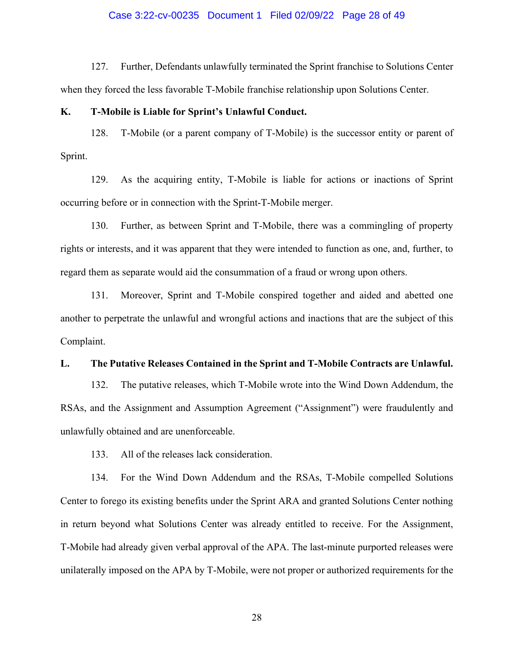## Case 3:22-cv-00235 Document 1 Filed 02/09/22 Page 28 of 49

127. Further, Defendants unlawfully terminated the Sprint franchise to Solutions Center when they forced the less favorable T-Mobile franchise relationship upon Solutions Center.

# **K. T-Mobile is Liable for Sprint's Unlawful Conduct.**

128. T-Mobile (or a parent company of T-Mobile) is the successor entity or parent of Sprint.

129. As the acquiring entity, T-Mobile is liable for actions or inactions of Sprint occurring before or in connection with the Sprint-T-Mobile merger.

130. Further, as between Sprint and T-Mobile, there was a commingling of property rights or interests, and it was apparent that they were intended to function as one, and, further, to regard them as separate would aid the consummation of a fraud or wrong upon others.

131. Moreover, Sprint and T-Mobile conspired together and aided and abetted one another to perpetrate the unlawful and wrongful actions and inactions that are the subject of this Complaint.

# **L. The Putative Releases Contained in the Sprint and T-Mobile Contracts are Unlawful.**

132. The putative releases, which T-Mobile wrote into the Wind Down Addendum, the RSAs, and the Assignment and Assumption Agreement ("Assignment") were fraudulently and unlawfully obtained and are unenforceable.

133. All of the releases lack consideration.

134. For the Wind Down Addendum and the RSAs, T-Mobile compelled Solutions Center to forego its existing benefits under the Sprint ARA and granted Solutions Center nothing in return beyond what Solutions Center was already entitled to receive. For the Assignment, T-Mobile had already given verbal approval of the APA. The last-minute purported releases were unilaterally imposed on the APA by T-Mobile, were not proper or authorized requirements for the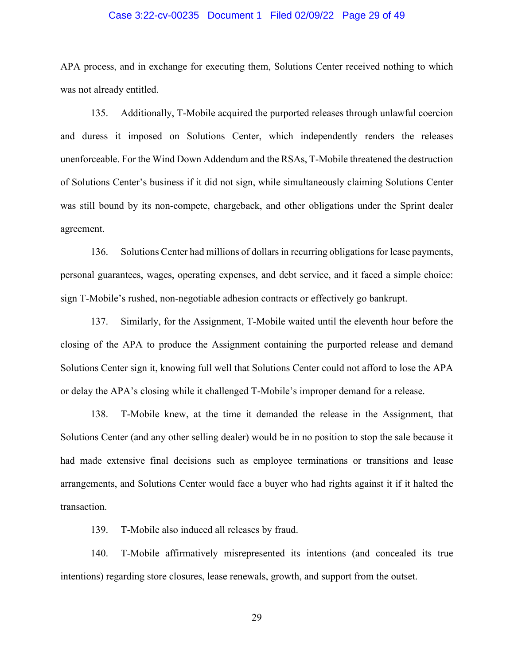# Case 3:22-cv-00235 Document 1 Filed 02/09/22 Page 29 of 49

APA process, and in exchange for executing them, Solutions Center received nothing to which was not already entitled.

135. Additionally, T-Mobile acquired the purported releases through unlawful coercion and duress it imposed on Solutions Center, which independently renders the releases unenforceable. For the Wind Down Addendum and the RSAs, T-Mobile threatened the destruction of Solutions Center's business if it did not sign, while simultaneously claiming Solutions Center was still bound by its non-compete, chargeback, and other obligations under the Sprint dealer agreement.

136. Solutions Center had millions of dollars in recurring obligations for lease payments, personal guarantees, wages, operating expenses, and debt service, and it faced a simple choice: sign T-Mobile's rushed, non-negotiable adhesion contracts or effectively go bankrupt.

137. Similarly, for the Assignment, T-Mobile waited until the eleventh hour before the closing of the APA to produce the Assignment containing the purported release and demand Solutions Center sign it, knowing full well that Solutions Center could not afford to lose the APA or delay the APA's closing while it challenged T-Mobile's improper demand for a release.

138. T-Mobile knew, at the time it demanded the release in the Assignment, that Solutions Center (and any other selling dealer) would be in no position to stop the sale because it had made extensive final decisions such as employee terminations or transitions and lease arrangements, and Solutions Center would face a buyer who had rights against it if it halted the transaction.

139. T-Mobile also induced all releases by fraud.

140. T-Mobile affirmatively misrepresented its intentions (and concealed its true intentions) regarding store closures, lease renewals, growth, and support from the outset.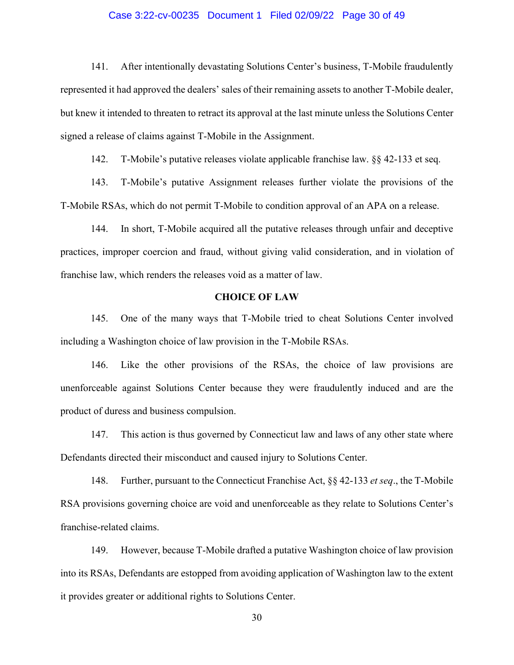# Case 3:22-cv-00235 Document 1 Filed 02/09/22 Page 30 of 49

141. After intentionally devastating Solutions Center's business, T-Mobile fraudulently represented it had approved the dealers' sales of their remaining assets to another T-Mobile dealer, but knew it intended to threaten to retract its approval at the last minute unless the Solutions Center signed a release of claims against T-Mobile in the Assignment.

142. T-Mobile's putative releases violate applicable franchise law. §§ 42-133 et seq.

143. T-Mobile's putative Assignment releases further violate the provisions of the T-Mobile RSAs, which do not permit T-Mobile to condition approval of an APA on a release.

144. In short, T-Mobile acquired all the putative releases through unfair and deceptive practices, improper coercion and fraud, without giving valid consideration, and in violation of franchise law, which renders the releases void as a matter of law.

## **CHOICE OF LAW**

145. One of the many ways that T-Mobile tried to cheat Solutions Center involved including a Washington choice of law provision in the T-Mobile RSAs.

146. Like the other provisions of the RSAs, the choice of law provisions are unenforceable against Solutions Center because they were fraudulently induced and are the product of duress and business compulsion.

147. This action is thus governed by Connecticut law and laws of any other state where Defendants directed their misconduct and caused injury to Solutions Center.

148. Further, pursuant to the Connecticut Franchise Act, §§ 42-133 *et seq*., the T-Mobile RSA provisions governing choice are void and unenforceable as they relate to Solutions Center's franchise-related claims.

149. However, because T-Mobile drafted a putative Washington choice of law provision into its RSAs, Defendants are estopped from avoiding application of Washington law to the extent it provides greater or additional rights to Solutions Center.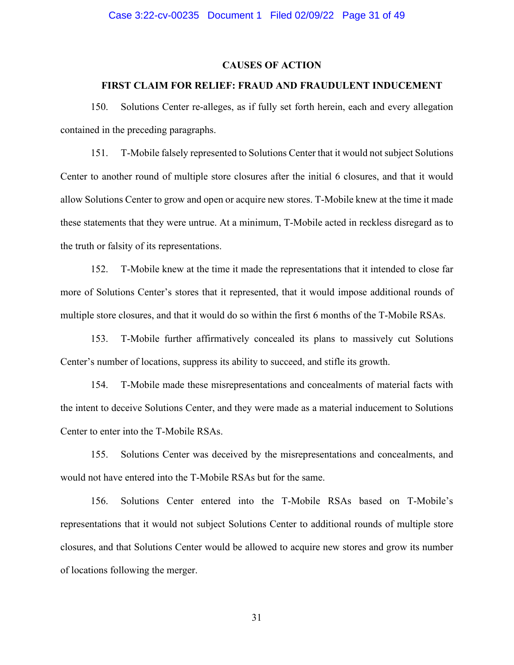# **CAUSES OF ACTION**

# **FIRST CLAIM FOR RELIEF: FRAUD AND FRAUDULENT INDUCEMENT**

150. Solutions Center re-alleges, as if fully set forth herein, each and every allegation contained in the preceding paragraphs.

151. T-Mobile falsely represented to Solutions Center that it would not subject Solutions Center to another round of multiple store closures after the initial 6 closures, and that it would allow Solutions Center to grow and open or acquire new stores. T-Mobile knew at the time it made these statements that they were untrue. At a minimum, T-Mobile acted in reckless disregard as to the truth or falsity of its representations.

152. T-Mobile knew at the time it made the representations that it intended to close far more of Solutions Center's stores that it represented, that it would impose additional rounds of multiple store closures, and that it would do so within the first 6 months of the T-Mobile RSAs.

153. T-Mobile further affirmatively concealed its plans to massively cut Solutions Center's number of locations, suppress its ability to succeed, and stifle its growth.

154. T-Mobile made these misrepresentations and concealments of material facts with the intent to deceive Solutions Center, and they were made as a material inducement to Solutions Center to enter into the T-Mobile RSAs.

155. Solutions Center was deceived by the misrepresentations and concealments, and would not have entered into the T-Mobile RSAs but for the same.

156. Solutions Center entered into the T-Mobile RSAs based on T-Mobile's representations that it would not subject Solutions Center to additional rounds of multiple store closures, and that Solutions Center would be allowed to acquire new stores and grow its number of locations following the merger.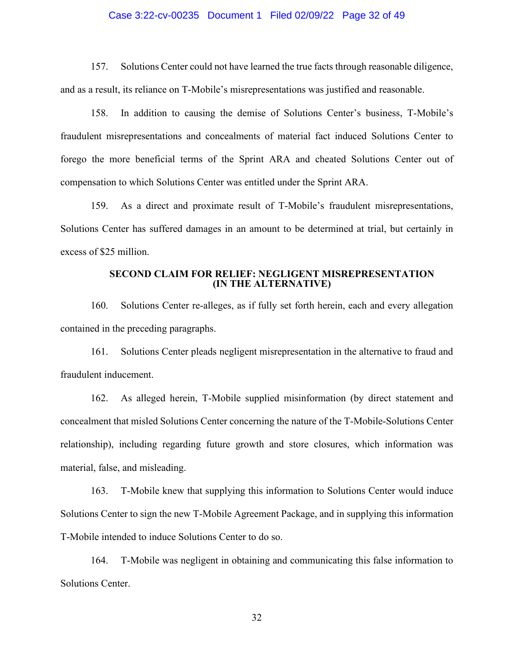# Case 3:22-cv-00235 Document 1 Filed 02/09/22 Page 32 of 49

157. Solutions Center could not have learned the true facts through reasonable diligence,

and as a result, its reliance on T-Mobile's misrepresentations was justified and reasonable.

158. In addition to causing the demise of Solutions Center's business, T-Mobile's fraudulent misrepresentations and concealments of material fact induced Solutions Center to forego the more beneficial terms of the Sprint ARA and cheated Solutions Center out of compensation to which Solutions Center was entitled under the Sprint ARA.

159. As a direct and proximate result of T-Mobile's fraudulent misrepresentations, Solutions Center has suffered damages in an amount to be determined at trial, but certainly in excess of \$25 million.

# **SECOND CLAIM FOR RELIEF: NEGLIGENT MISREPRESENTATION (IN THE ALTERNATIVE)**

160. Solutions Center re-alleges, as if fully set forth herein, each and every allegation contained in the preceding paragraphs.

161. Solutions Center pleads negligent misrepresentation in the alternative to fraud and fraudulent inducement.

162. As alleged herein, T-Mobile supplied misinformation (by direct statement and concealment that misled Solutions Center concerning the nature of the T-Mobile-Solutions Center relationship), including regarding future growth and store closures, which information was material, false, and misleading.

163. T-Mobile knew that supplying this information to Solutions Center would induce Solutions Center to sign the new T-Mobile Agreement Package, and in supplying this information T-Mobile intended to induce Solutions Center to do so.

164. T-Mobile was negligent in obtaining and communicating this false information to Solutions Center.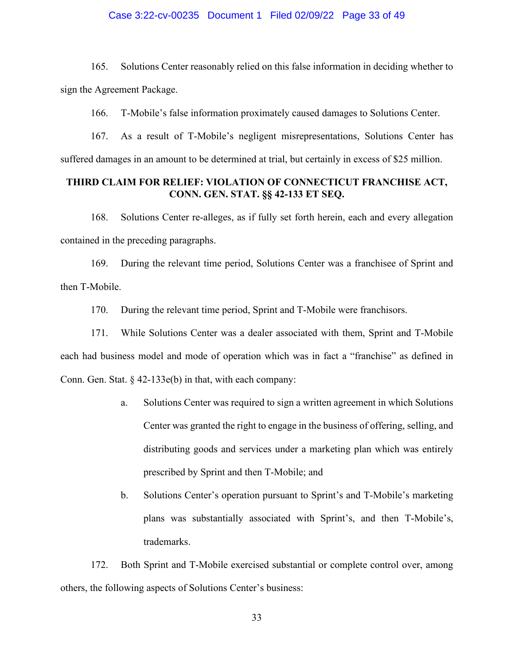# Case 3:22-cv-00235 Document 1 Filed 02/09/22 Page 33 of 49

165. Solutions Center reasonably relied on this false information in deciding whether to sign the Agreement Package.

166. T-Mobile's false information proximately caused damages to Solutions Center.

167. As a result of T-Mobile's negligent misrepresentations, Solutions Center has suffered damages in an amount to be determined at trial, but certainly in excess of \$25 million.

# **THIRD CLAIM FOR RELIEF: VIOLATION OF CONNECTICUT FRANCHISE ACT, CONN. GEN. STAT. §§ 42-133 ET SEQ.**

168. Solutions Center re-alleges, as if fully set forth herein, each and every allegation contained in the preceding paragraphs.

169. During the relevant time period, Solutions Center was a franchisee of Sprint and then T-Mobile.

170. During the relevant time period, Sprint and T-Mobile were franchisors.

171. While Solutions Center was a dealer associated with them, Sprint and T-Mobile each had business model and mode of operation which was in fact a "franchise" as defined in Conn. Gen. Stat. § 42-133e(b) in that, with each company:

- a. Solutions Center was required to sign a written agreement in which Solutions Center was granted the right to engage in the business of offering, selling, and distributing goods and services under a marketing plan which was entirely prescribed by Sprint and then T-Mobile; and
- b. Solutions Center's operation pursuant to Sprint's and T-Mobile's marketing plans was substantially associated with Sprint's, and then T-Mobile's, trademarks.

172. Both Sprint and T-Mobile exercised substantial or complete control over, among others, the following aspects of Solutions Center's business: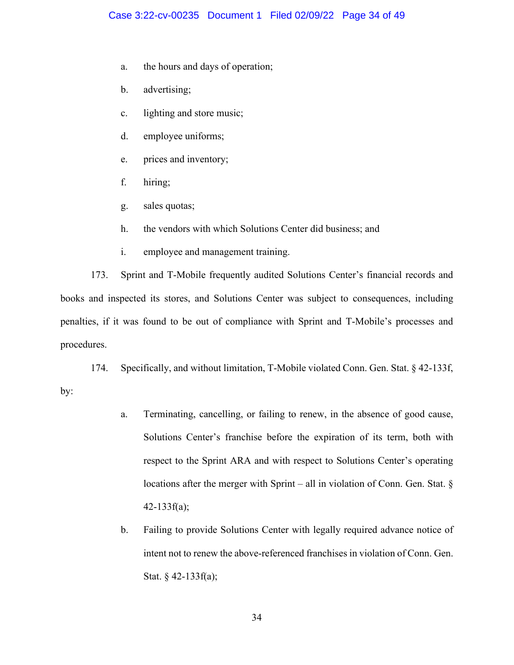- a. the hours and days of operation;
- b. advertising;
- c. lighting and store music;
- d. employee uniforms;
- e. prices and inventory;
- f. hiring;
- g. sales quotas;
- h. the vendors with which Solutions Center did business; and
- i. employee and management training.

173. Sprint and T-Mobile frequently audited Solutions Center's financial records and books and inspected its stores, and Solutions Center was subject to consequences, including penalties, if it was found to be out of compliance with Sprint and T-Mobile's processes and procedures.

174. Specifically, and without limitation, T-Mobile violated Conn. Gen. Stat. § 42-133f,

by:

- a. Terminating, cancelling, or failing to renew, in the absence of good cause, Solutions Center's franchise before the expiration of its term, both with respect to the Sprint ARA and with respect to Solutions Center's operating locations after the merger with Sprint – all in violation of Conn. Gen. Stat.  $\S$ 42-133f(a);
- b. Failing to provide Solutions Center with legally required advance notice of intent not to renew the above-referenced franchises in violation of Conn. Gen. Stat. § 42-133f(a);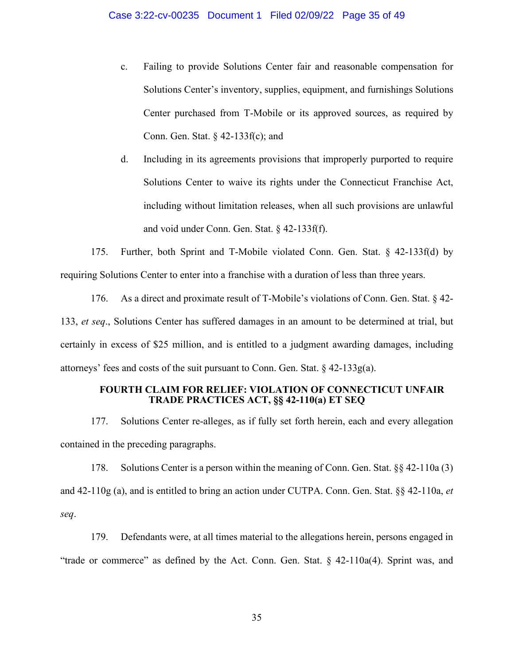c. Failing to provide Solutions Center fair and reasonable compensation for Solutions Center's inventory, supplies, equipment, and furnishings Solutions Center purchased from T-Mobile or its approved sources, as required by Conn. Gen. Stat. § 42-133f(c); and

d. Including in its agreements provisions that improperly purported to require Solutions Center to waive its rights under the Connecticut Franchise Act, including without limitation releases, when all such provisions are unlawful and void under Conn. Gen. Stat. § 42-133f(f).

175. Further, both Sprint and T-Mobile violated Conn. Gen. Stat. § 42-133f(d) by requiring Solutions Center to enter into a franchise with a duration of less than three years.

176. As a direct and proximate result of T-Mobile's violations of Conn. Gen. Stat. § 42- 133, *et seq*., Solutions Center has suffered damages in an amount to be determined at trial, but certainly in excess of \$25 million, and is entitled to a judgment awarding damages, including attorneys' fees and costs of the suit pursuant to Conn. Gen. Stat. § 42-133g(a).

# **FOURTH CLAIM FOR RELIEF: VIOLATION OF CONNECTICUT UNFAIR TRADE PRACTICES ACT, §§ 42-110(a) ET SEQ**

177. Solutions Center re-alleges, as if fully set forth herein, each and every allegation contained in the preceding paragraphs.

178. Solutions Center is a person within the meaning of Conn. Gen. Stat. §§ 42-110a (3) and 42-110g (a), and is entitled to bring an action under CUTPA. Conn. Gen. Stat. §§ 42-110a, *et seq*.

179. Defendants were, at all times material to the allegations herein, persons engaged in "trade or commerce" as defined by the Act. Conn. Gen. Stat. § 42-110a(4). Sprint was, and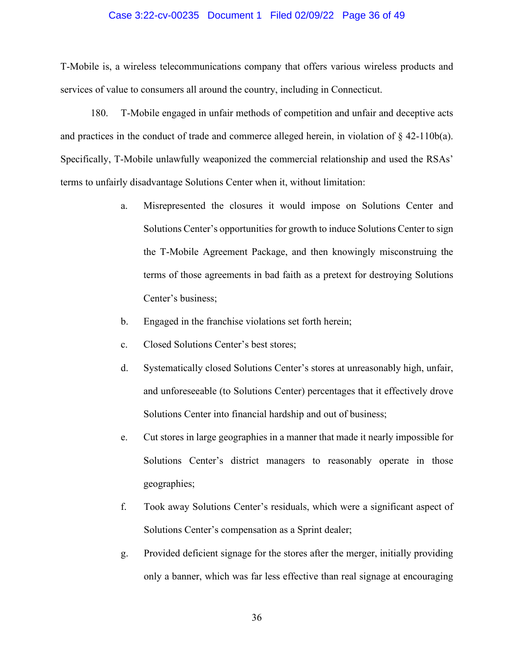## Case 3:22-cv-00235 Document 1 Filed 02/09/22 Page 36 of 49

T-Mobile is, a wireless telecommunications company that offers various wireless products and services of value to consumers all around the country, including in Connecticut.

180. T-Mobile engaged in unfair methods of competition and unfair and deceptive acts and practices in the conduct of trade and commerce alleged herein, in violation of § 42-110b(a). Specifically, T-Mobile unlawfully weaponized the commercial relationship and used the RSAs' terms to unfairly disadvantage Solutions Center when it, without limitation:

- a. Misrepresented the closures it would impose on Solutions Center and Solutions Center's opportunities for growth to induce Solutions Center to sign the T-Mobile Agreement Package, and then knowingly misconstruing the terms of those agreements in bad faith as a pretext for destroying Solutions Center's business;
- b. Engaged in the franchise violations set forth herein;
- c. Closed Solutions Center's best stores;
- d. Systematically closed Solutions Center's stores at unreasonably high, unfair, and unforeseeable (to Solutions Center) percentages that it effectively drove Solutions Center into financial hardship and out of business;
- e. Cut stores in large geographies in a manner that made it nearly impossible for Solutions Center's district managers to reasonably operate in those geographies;
- f. Took away Solutions Center's residuals, which were a significant aspect of Solutions Center's compensation as a Sprint dealer;
- g. Provided deficient signage for the stores after the merger, initially providing only a banner, which was far less effective than real signage at encouraging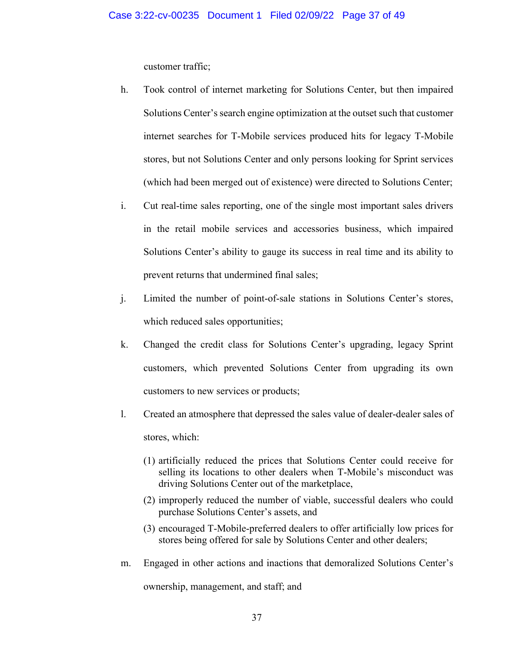customer traffic;

- h. Took control of internet marketing for Solutions Center, but then impaired Solutions Center's search engine optimization at the outset such that customer internet searches for T-Mobile services produced hits for legacy T-Mobile stores, but not Solutions Center and only persons looking for Sprint services (which had been merged out of existence) were directed to Solutions Center;
- i. Cut real-time sales reporting, one of the single most important sales drivers in the retail mobile services and accessories business, which impaired Solutions Center's ability to gauge its success in real time and its ability to prevent returns that undermined final sales;
- j. Limited the number of point-of-sale stations in Solutions Center's stores, which reduced sales opportunities;
- k. Changed the credit class for Solutions Center's upgrading, legacy Sprint customers, which prevented Solutions Center from upgrading its own customers to new services or products;
- l. Created an atmosphere that depressed the sales value of dealer-dealer sales of stores, which:
	- (1) artificially reduced the prices that Solutions Center could receive for selling its locations to other dealers when T-Mobile's misconduct was driving Solutions Center out of the marketplace,
	- (2) improperly reduced the number of viable, successful dealers who could purchase Solutions Center's assets, and
	- (3) encouraged T-Mobile-preferred dealers to offer artificially low prices for stores being offered for sale by Solutions Center and other dealers;
- m. Engaged in other actions and inactions that demoralized Solutions Center's ownership, management, and staff; and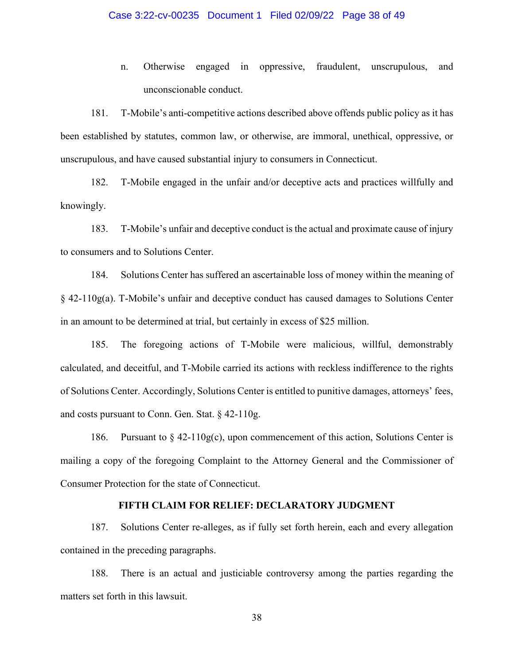#### Case 3:22-cv-00235 Document 1 Filed 02/09/22 Page 38 of 49

n. Otherwise engaged in oppressive, fraudulent, unscrupulous, and unconscionable conduct.

181. T-Mobile's anti-competitive actions described above offends public policy as it has been established by statutes, common law, or otherwise, are immoral, unethical, oppressive, or unscrupulous, and have caused substantial injury to consumers in Connecticut.

182. T-Mobile engaged in the unfair and/or deceptive acts and practices willfully and knowingly.

183. T-Mobile's unfair and deceptive conduct is the actual and proximate cause of injury to consumers and to Solutions Center.

184. Solutions Center has suffered an ascertainable loss of money within the meaning of § 42-110g(a). T-Mobile's unfair and deceptive conduct has caused damages to Solutions Center in an amount to be determined at trial, but certainly in excess of \$25 million.

185. The foregoing actions of T-Mobile were malicious, willful, demonstrably calculated, and deceitful, and T-Mobile carried its actions with reckless indifference to the rights of Solutions Center. Accordingly, Solutions Center is entitled to punitive damages, attorneys' fees, and costs pursuant to Conn. Gen. Stat. § 42-110g.

186. Pursuant to  $\S 42-110g(c)$ , upon commencement of this action, Solutions Center is mailing a copy of the foregoing Complaint to the Attorney General and the Commissioner of Consumer Protection for the state of Connecticut.

# **FIFTH CLAIM FOR RELIEF: DECLARATORY JUDGMENT**

187. Solutions Center re-alleges, as if fully set forth herein, each and every allegation contained in the preceding paragraphs.

188. There is an actual and justiciable controversy among the parties regarding the matters set forth in this lawsuit.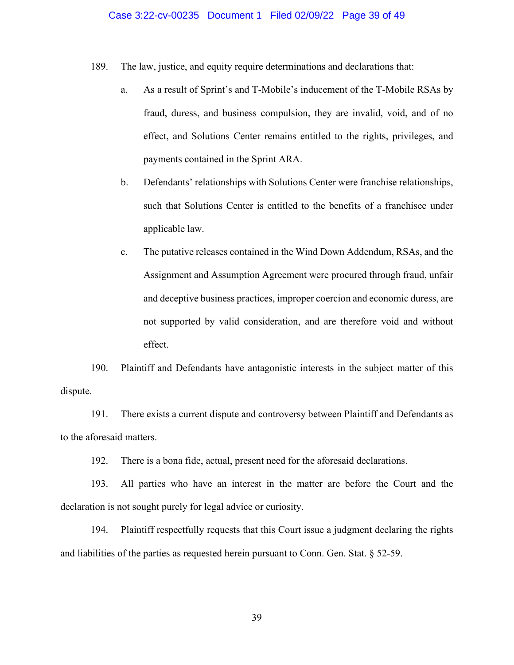# Case 3:22-cv-00235 Document 1 Filed 02/09/22 Page 39 of 49

- 189. The law, justice, and equity require determinations and declarations that:
	- a. As a result of Sprint's and T-Mobile's inducement of the T-Mobile RSAs by fraud, duress, and business compulsion, they are invalid, void, and of no effect, and Solutions Center remains entitled to the rights, privileges, and payments contained in the Sprint ARA.
	- b. Defendants' relationships with Solutions Center were franchise relationships, such that Solutions Center is entitled to the benefits of a franchisee under applicable law.
	- c. The putative releases contained in the Wind Down Addendum, RSAs, and the Assignment and Assumption Agreement were procured through fraud, unfair and deceptive business practices, improper coercion and economic duress, are not supported by valid consideration, and are therefore void and without effect.

190. Plaintiff and Defendants have antagonistic interests in the subject matter of this dispute.

191. There exists a current dispute and controversy between Plaintiff and Defendants as to the aforesaid matters.

192. There is a bona fide, actual, present need for the aforesaid declarations.

193. All parties who have an interest in the matter are before the Court and the declaration is not sought purely for legal advice or curiosity.

194. Plaintiff respectfully requests that this Court issue a judgment declaring the rights and liabilities of the parties as requested herein pursuant to Conn. Gen. Stat. § 52-59.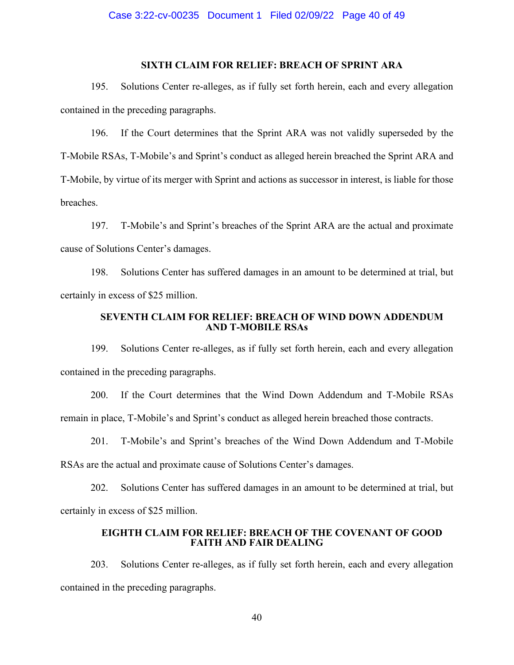# **SIXTH CLAIM FOR RELIEF: BREACH OF SPRINT ARA**

195. Solutions Center re-alleges, as if fully set forth herein, each and every allegation contained in the preceding paragraphs.

196. If the Court determines that the Sprint ARA was not validly superseded by the T-Mobile RSAs, T-Mobile's and Sprint's conduct as alleged herein breached the Sprint ARA and T-Mobile, by virtue of its merger with Sprint and actions as successor in interest, is liable for those breaches.

197. T-Mobile's and Sprint's breaches of the Sprint ARA are the actual and proximate cause of Solutions Center's damages.

198. Solutions Center has suffered damages in an amount to be determined at trial, but certainly in excess of \$25 million.

# **SEVENTH CLAIM FOR RELIEF: BREACH OF WIND DOWN ADDENDUM AND T-MOBILE RSAs**

199. Solutions Center re-alleges, as if fully set forth herein, each and every allegation contained in the preceding paragraphs.

200. If the Court determines that the Wind Down Addendum and T-Mobile RSAs remain in place, T-Mobile's and Sprint's conduct as alleged herein breached those contracts.

201. T-Mobile's and Sprint's breaches of the Wind Down Addendum and T-Mobile RSAs are the actual and proximate cause of Solutions Center's damages.

202. Solutions Center has suffered damages in an amount to be determined at trial, but certainly in excess of \$25 million.

# **EIGHTH CLAIM FOR RELIEF: BREACH OF THE COVENANT OF GOOD FAITH AND FAIR DEALING**

203. Solutions Center re-alleges, as if fully set forth herein, each and every allegation contained in the preceding paragraphs.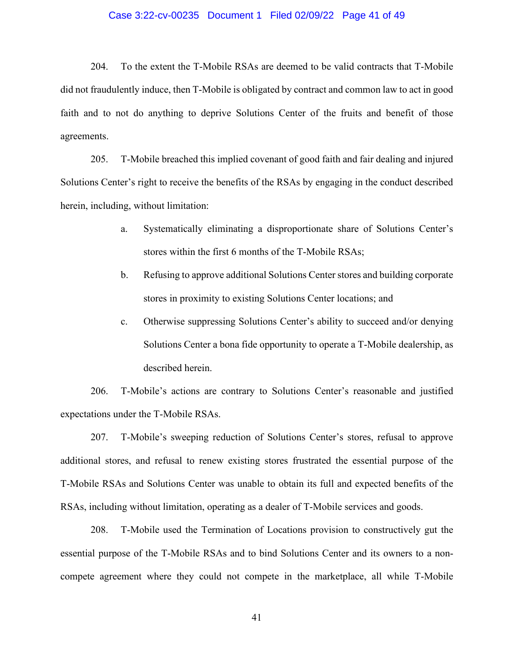# Case 3:22-cv-00235 Document 1 Filed 02/09/22 Page 41 of 49

204. To the extent the T-Mobile RSAs are deemed to be valid contracts that T-Mobile did not fraudulently induce, then T-Mobile is obligated by contract and common law to act in good faith and to not do anything to deprive Solutions Center of the fruits and benefit of those agreements.

205. T-Mobile breached this implied covenant of good faith and fair dealing and injured Solutions Center's right to receive the benefits of the RSAs by engaging in the conduct described herein, including, without limitation:

- a. Systematically eliminating a disproportionate share of Solutions Center's stores within the first 6 months of the T-Mobile RSAs;
- b. Refusing to approve additional Solutions Center stores and building corporate stores in proximity to existing Solutions Center locations; and
- c. Otherwise suppressing Solutions Center's ability to succeed and/or denying Solutions Center a bona fide opportunity to operate a T-Mobile dealership, as described herein.

206. T-Mobile's actions are contrary to Solutions Center's reasonable and justified expectations under the T-Mobile RSAs.

207. T-Mobile's sweeping reduction of Solutions Center's stores, refusal to approve additional stores, and refusal to renew existing stores frustrated the essential purpose of the T-Mobile RSAs and Solutions Center was unable to obtain its full and expected benefits of the RSAs, including without limitation, operating as a dealer of T-Mobile services and goods.

208. T-Mobile used the Termination of Locations provision to constructively gut the essential purpose of the T-Mobile RSAs and to bind Solutions Center and its owners to a noncompete agreement where they could not compete in the marketplace, all while T-Mobile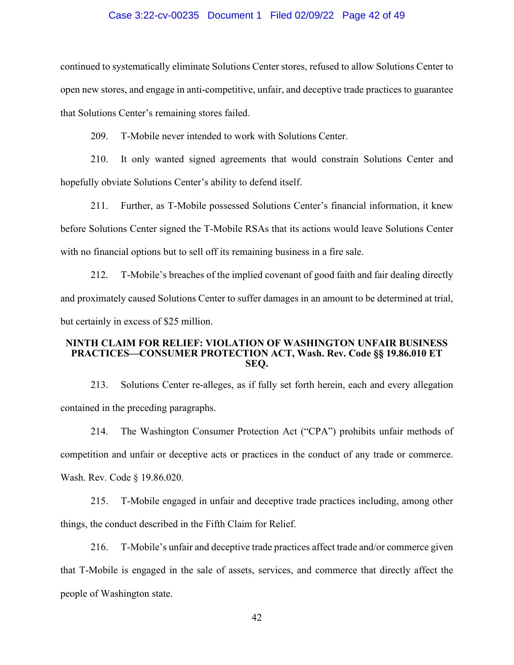## Case 3:22-cv-00235 Document 1 Filed 02/09/22 Page 42 of 49

continued to systematically eliminate Solutions Center stores, refused to allow Solutions Center to open new stores, and engage in anti-competitive, unfair, and deceptive trade practices to guarantee that Solutions Center's remaining stores failed.

209. T-Mobile never intended to work with Solutions Center.

210. It only wanted signed agreements that would constrain Solutions Center and hopefully obviate Solutions Center's ability to defend itself.

211. Further, as T-Mobile possessed Solutions Center's financial information, it knew before Solutions Center signed the T-Mobile RSAs that its actions would leave Solutions Center with no financial options but to sell off its remaining business in a fire sale.

212. T-Mobile's breaches of the implied covenant of good faith and fair dealing directly and proximately caused Solutions Center to suffer damages in an amount to be determined at trial, but certainly in excess of \$25 million.

# **NINTH CLAIM FOR RELIEF: VIOLATION OF WASHINGTON UNFAIR BUSINESS PRACTICES—CONSUMER PROTECTION ACT, Wash. Rev. Code §§ 19.86.010 ET SEQ.**

213. Solutions Center re-alleges, as if fully set forth herein, each and every allegation contained in the preceding paragraphs.

214. The Washington Consumer Protection Act ("CPA") prohibits unfair methods of competition and unfair or deceptive acts or practices in the conduct of any trade or commerce. Wash. Rev. Code § 19.86.020.

215. T-Mobile engaged in unfair and deceptive trade practices including, among other things, the conduct described in the Fifth Claim for Relief.

216. T-Mobile's unfair and deceptive trade practices affect trade and/or commerce given that T-Mobile is engaged in the sale of assets, services, and commerce that directly affect the people of Washington state.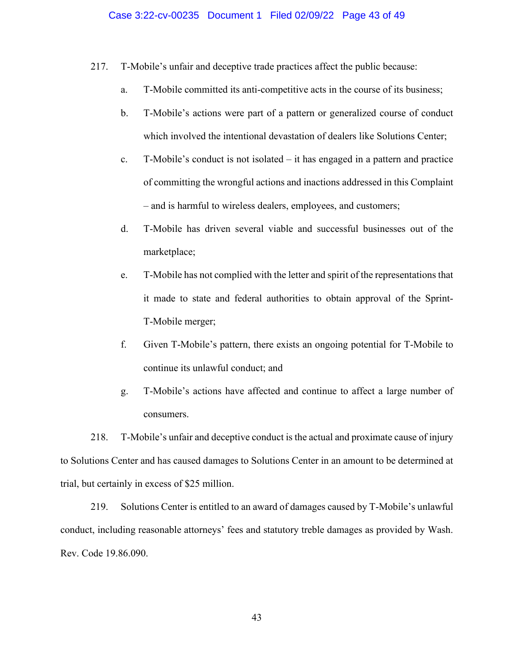#### Case 3:22-cv-00235 Document 1 Filed 02/09/22 Page 43 of 49

- 217. T-Mobile's unfair and deceptive trade practices affect the public because:
	- a. T-Mobile committed its anti-competitive acts in the course of its business;
	- b. T-Mobile's actions were part of a pattern or generalized course of conduct which involved the intentional devastation of dealers like Solutions Center;
	- c. T-Mobile's conduct is not isolated it has engaged in a pattern and practice of committing the wrongful actions and inactions addressed in this Complaint – and is harmful to wireless dealers, employees, and customers;
	- d. T-Mobile has driven several viable and successful businesses out of the marketplace;
	- e. T-Mobile has not complied with the letter and spirit of the representations that it made to state and federal authorities to obtain approval of the Sprint-T-Mobile merger;
	- f. Given T-Mobile's pattern, there exists an ongoing potential for T-Mobile to continue its unlawful conduct; and
	- g. T-Mobile's actions have affected and continue to affect a large number of consumers.

218. T-Mobile's unfair and deceptive conduct is the actual and proximate cause of injury to Solutions Center and has caused damages to Solutions Center in an amount to be determined at trial, but certainly in excess of \$25 million.

219. Solutions Center is entitled to an award of damages caused by T-Mobile's unlawful conduct, including reasonable attorneys' fees and statutory treble damages as provided by Wash. Rev. Code 19.86.090.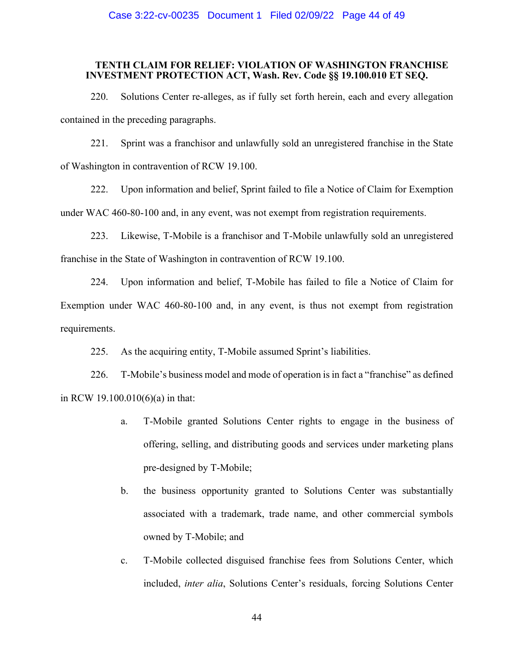# **TENTH CLAIM FOR RELIEF: VIOLATION OF WASHINGTON FRANCHISE INVESTMENT PROTECTION ACT, Wash. Rev. Code §§ 19.100.010 ET SEQ.**

220. Solutions Center re-alleges, as if fully set forth herein, each and every allegation contained in the preceding paragraphs.

221. Sprint was a franchisor and unlawfully sold an unregistered franchise in the State of Washington in contravention of RCW 19.100.

222. Upon information and belief, Sprint failed to file a Notice of Claim for Exemption under WAC 460-80-100 and, in any event, was not exempt from registration requirements.

223. Likewise, T-Mobile is a franchisor and T-Mobile unlawfully sold an unregistered franchise in the State of Washington in contravention of RCW 19.100.

224. Upon information and belief, T-Mobile has failed to file a Notice of Claim for Exemption under WAC 460-80-100 and, in any event, is thus not exempt from registration requirements.

225. As the acquiring entity, T-Mobile assumed Sprint's liabilities.

226. T-Mobile's business model and mode of operation is in fact a "franchise" as defined in RCW 19.100.010(6)(a) in that:

- a. T-Mobile granted Solutions Center rights to engage in the business of offering, selling, and distributing goods and services under marketing plans pre-designed by T-Mobile;
- b. the business opportunity granted to Solutions Center was substantially associated with a trademark, trade name, and other commercial symbols owned by T-Mobile; and
- c. T-Mobile collected disguised franchise fees from Solutions Center, which included, *inter alia*, Solutions Center's residuals, forcing Solutions Center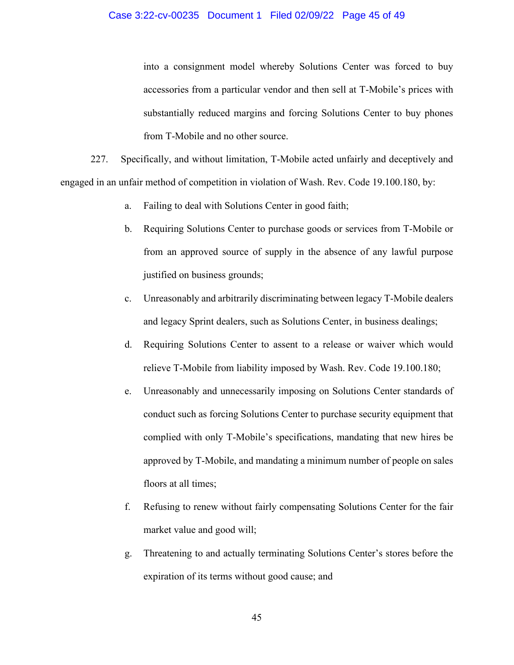into a consignment model whereby Solutions Center was forced to buy accessories from a particular vendor and then sell at T-Mobile's prices with substantially reduced margins and forcing Solutions Center to buy phones from T-Mobile and no other source.

227. Specifically, and without limitation, T-Mobile acted unfairly and deceptively and engaged in an unfair method of competition in violation of Wash. Rev. Code 19.100.180, by:

- a. Failing to deal with Solutions Center in good faith;
- b. Requiring Solutions Center to purchase goods or services from T-Mobile or from an approved source of supply in the absence of any lawful purpose justified on business grounds;
- c. Unreasonably and arbitrarily discriminating between legacy T-Mobile dealers and legacy Sprint dealers, such as Solutions Center, in business dealings;
- d. Requiring Solutions Center to assent to a release or waiver which would relieve T-Mobile from liability imposed by Wash. Rev. Code 19.100.180;
- e. Unreasonably and unnecessarily imposing on Solutions Center standards of conduct such as forcing Solutions Center to purchase security equipment that complied with only T-Mobile's specifications, mandating that new hires be approved by T-Mobile, and mandating a minimum number of people on sales floors at all times;
- f. Refusing to renew without fairly compensating Solutions Center for the fair market value and good will;
- g. Threatening to and actually terminating Solutions Center's stores before the expiration of its terms without good cause; and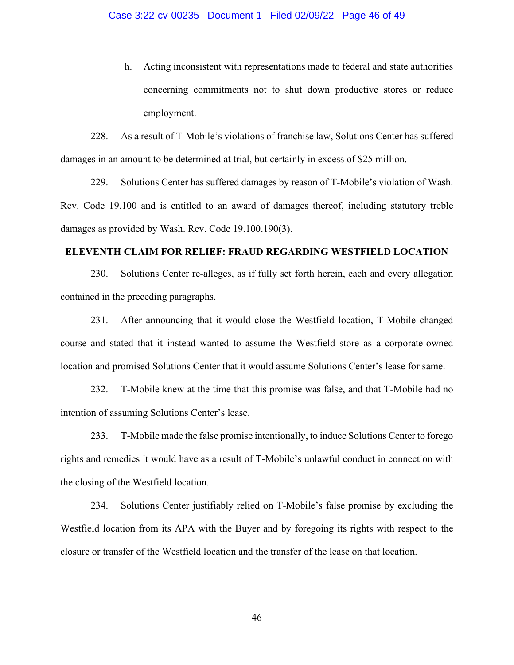h. Acting inconsistent with representations made to federal and state authorities concerning commitments not to shut down productive stores or reduce employment.

228. As a result of T-Mobile's violations of franchise law, Solutions Center has suffered damages in an amount to be determined at trial, but certainly in excess of \$25 million.

229. Solutions Center has suffered damages by reason of T-Mobile's violation of Wash. Rev. Code 19.100 and is entitled to an award of damages thereof, including statutory treble damages as provided by Wash. Rev. Code 19.100.190(3).

# **ELEVENTH CLAIM FOR RELIEF: FRAUD REGARDING WESTFIELD LOCATION**

230. Solutions Center re-alleges, as if fully set forth herein, each and every allegation contained in the preceding paragraphs.

231. After announcing that it would close the Westfield location, T-Mobile changed course and stated that it instead wanted to assume the Westfield store as a corporate-owned location and promised Solutions Center that it would assume Solutions Center's lease for same.

232. T-Mobile knew at the time that this promise was false, and that T-Mobile had no intention of assuming Solutions Center's lease.

233. T-Mobile made the false promise intentionally, to induce Solutions Center to forego rights and remedies it would have as a result of T-Mobile's unlawful conduct in connection with the closing of the Westfield location.

234. Solutions Center justifiably relied on T-Mobile's false promise by excluding the Westfield location from its APA with the Buyer and by foregoing its rights with respect to the closure or transfer of the Westfield location and the transfer of the lease on that location.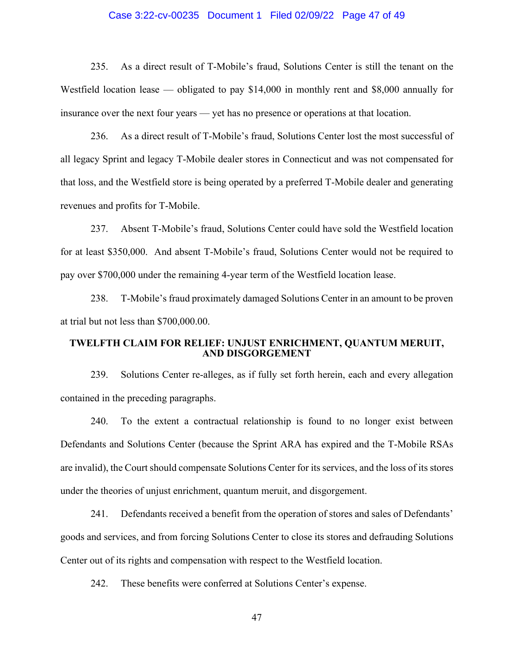# Case 3:22-cv-00235 Document 1 Filed 02/09/22 Page 47 of 49

235. As a direct result of T-Mobile's fraud, Solutions Center is still the tenant on the Westfield location lease — obligated to pay \$14,000 in monthly rent and \$8,000 annually for insurance over the next four years — yet has no presence or operations at that location.

236. As a direct result of T-Mobile's fraud, Solutions Center lost the most successful of all legacy Sprint and legacy T-Mobile dealer stores in Connecticut and was not compensated for that loss, and the Westfield store is being operated by a preferred T-Mobile dealer and generating revenues and profits for T-Mobile.

237. Absent T-Mobile's fraud, Solutions Center could have sold the Westfield location for at least \$350,000. And absent T-Mobile's fraud, Solutions Center would not be required to pay over \$700,000 under the remaining 4-year term of the Westfield location lease.

238. T-Mobile's fraud proximately damaged Solutions Center in an amount to be proven at trial but not less than \$700,000.00.

# **TWELFTH CLAIM FOR RELIEF: UNJUST ENRICHMENT, QUANTUM MERUIT, AND DISGORGEMENT**

239. Solutions Center re-alleges, as if fully set forth herein, each and every allegation contained in the preceding paragraphs.

240. To the extent a contractual relationship is found to no longer exist between Defendants and Solutions Center (because the Sprint ARA has expired and the T-Mobile RSAs are invalid), the Court should compensate Solutions Center for its services, and the loss of its stores under the theories of unjust enrichment, quantum meruit, and disgorgement.

241. Defendants received a benefit from the operation of stores and sales of Defendants' goods and services, and from forcing Solutions Center to close its stores and defrauding Solutions Center out of its rights and compensation with respect to the Westfield location.

242. These benefits were conferred at Solutions Center's expense.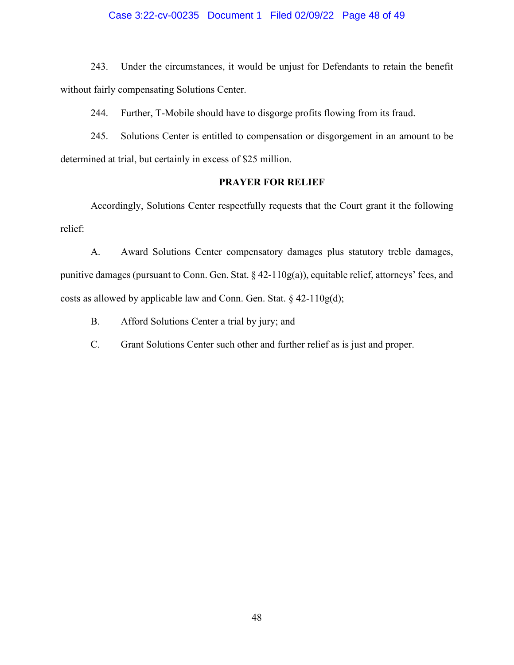# Case 3:22-cv-00235 Document 1 Filed 02/09/22 Page 48 of 49

243. Under the circumstances, it would be unjust for Defendants to retain the benefit without fairly compensating Solutions Center.

244. Further, T-Mobile should have to disgorge profits flowing from its fraud.

245. Solutions Center is entitled to compensation or disgorgement in an amount to be determined at trial, but certainly in excess of \$25 million.

# **PRAYER FOR RELIEF**

Accordingly, Solutions Center respectfully requests that the Court grant it the following relief:

A. Award Solutions Center compensatory damages plus statutory treble damages, punitive damages (pursuant to Conn. Gen. Stat. § 42-110g(a)), equitable relief, attorneys' fees, and costs as allowed by applicable law and Conn. Gen. Stat. § 42-110g(d);

B. Afford Solutions Center a trial by jury; and

C. Grant Solutions Center such other and further relief as is just and proper.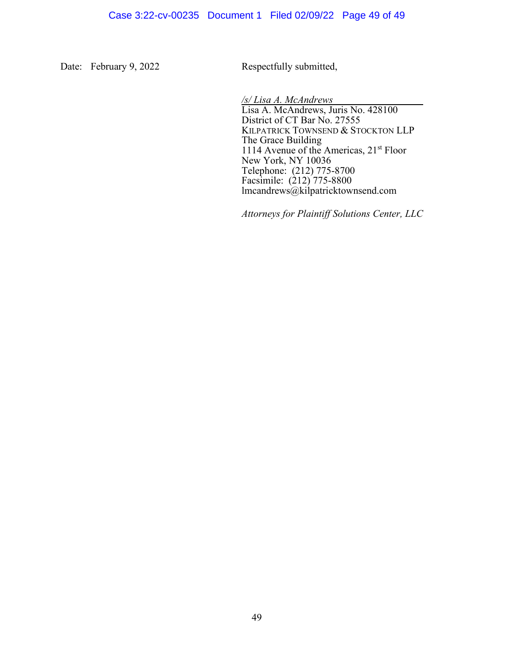Date: February 9, 2022 Respectfully submitted,

*/s/ Lisa A. McAndrews*

Lisa A. McAndrews, Juris No. 428100 District of CT Bar No. 27555 KILPATRICK TOWNSEND & STOCKTON LLP The Grace Building 1114 Avenue of the Americas, 21st Floor New York, NY 10036 Telephone: (212) 775-8700 Facsimile: (212) 775-8800 lmcandrews@kilpatricktownsend.com

*Attorneys for Plaintiff Solutions Center, LLC*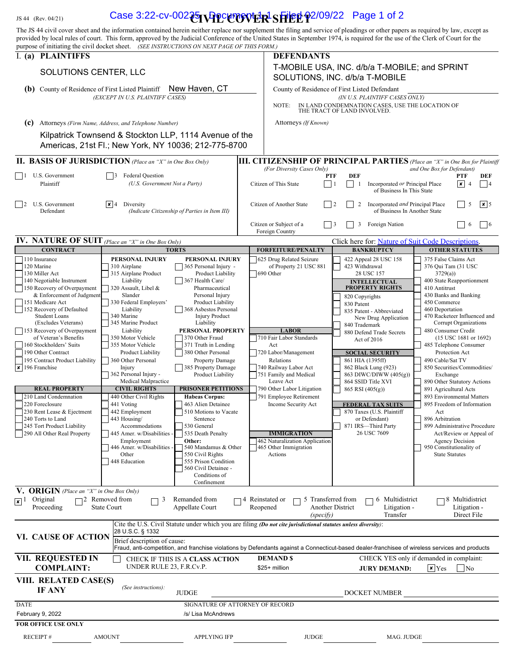# $\frac{1}{15}$   $\frac{1}{44}$  (Rev. 04/21) Case 3:22-cv-00235  $\sqrt{10}$   $\sqrt{10}$   $\sqrt{10}$   $\sqrt{10}$   $\sqrt{10}$   $\sqrt{10}$   $\sqrt{10}$   $\sqrt{10}$   $\sqrt{10}$   $\sqrt{10}$   $\sqrt{10}$   $\sqrt{10}$   $\sqrt{10}$   $\sqrt{10}$   $\sqrt{10}$   $\sqrt{10}$   $\sqrt{10}$   $\sqrt{10}$   $\sqrt{1$

| The JS 44 civil cover sheet and the information contained herein neither replace nor supplement the filing and service of pleadings or other papers as required by law, except as<br>provided by local rules of court. This form, approved by the Judicial Conference of the United States in September 1974, is required for the use of the Clerk of Court for the<br>purpose of initiating the civil docket sheet. (SEE INSTRUCTIONS ON NEXT PAGE OF THIS FORM.) |                                                                                 |                                                   |                                                                                        |                                                                                                                                                   |                                                                                                                                                 |                                                                                     |  |
|--------------------------------------------------------------------------------------------------------------------------------------------------------------------------------------------------------------------------------------------------------------------------------------------------------------------------------------------------------------------------------------------------------------------------------------------------------------------|---------------------------------------------------------------------------------|---------------------------------------------------|----------------------------------------------------------------------------------------|---------------------------------------------------------------------------------------------------------------------------------------------------|-------------------------------------------------------------------------------------------------------------------------------------------------|-------------------------------------------------------------------------------------|--|
| I. (a) PLAINTIFFS                                                                                                                                                                                                                                                                                                                                                                                                                                                  |                                                                                 |                                                   |                                                                                        | <b>DEFENDANTS</b>                                                                                                                                 |                                                                                                                                                 |                                                                                     |  |
| SOLUTIONS CENTER, LLC                                                                                                                                                                                                                                                                                                                                                                                                                                              |                                                                                 |                                                   |                                                                                        | T-MOBILE USA, INC. d/b/a T-MOBILE; and SPRINT<br>SOLUTIONS, INC. d/b/a T-MOBILE                                                                   |                                                                                                                                                 |                                                                                     |  |
| New Haven, CT<br><b>(b)</b> County of Residence of First Listed Plaintiff                                                                                                                                                                                                                                                                                                                                                                                          |                                                                                 |                                                   | County of Residence of First Listed Defendant                                          |                                                                                                                                                   |                                                                                                                                                 |                                                                                     |  |
| (EXCEPT IN U.S. PLAINTIFF CASES)                                                                                                                                                                                                                                                                                                                                                                                                                                   |                                                                                 |                                                   |                                                                                        | (IN U.S. PLAINTIFF CASES ONLY)<br>IN LAND CONDEMNATION CASES, USE THE LOCATION OF<br>NOTE:<br>THE TRACT OF LAND INVOLVED.<br>Attorneys (If Known) |                                                                                                                                                 |                                                                                     |  |
|                                                                                                                                                                                                                                                                                                                                                                                                                                                                    |                                                                                 |                                                   |                                                                                        |                                                                                                                                                   |                                                                                                                                                 |                                                                                     |  |
| (c)<br>Attorneys (Firm Name, Address, and Telephone Number)<br>Kilpatrick Townsend & Stockton LLP, 1114 Avenue of the                                                                                                                                                                                                                                                                                                                                              |                                                                                 |                                                   |                                                                                        |                                                                                                                                                   |                                                                                                                                                 |                                                                                     |  |
|                                                                                                                                                                                                                                                                                                                                                                                                                                                                    | Americas, 21st Fl.; New York, NY 10036; 212-775-8700                            |                                                   |                                                                                        |                                                                                                                                                   |                                                                                                                                                 |                                                                                     |  |
| <b>II. BASIS OF JURISDICTION</b> (Place an "X" in One Box Only)                                                                                                                                                                                                                                                                                                                                                                                                    |                                                                                 |                                                   |                                                                                        |                                                                                                                                                   |                                                                                                                                                 | <b>III. CITIZENSHIP OF PRINCIPAL PARTIES</b> (Place an "X" in One Box for Plaintiff |  |
| U.S. Government<br>$\vert$ $\vert$ 1                                                                                                                                                                                                                                                                                                                                                                                                                               | <b>Federal Question</b><br>$\vert$ 3                                            |                                                   |                                                                                        | (For Diversity Cases Only)<br><b>PTF</b>                                                                                                          | <b>DEF</b>                                                                                                                                      | and One Box for Defendant)<br><b>PTF</b><br>DEF                                     |  |
| Plaintiff                                                                                                                                                                                                                                                                                                                                                                                                                                                          | (U.S. Government Not a Party)                                                   |                                                   |                                                                                        | $\Box$ 1<br>Citizen of This State                                                                                                                 | $\mathbf{1}$<br>Incorporated or Principal Place<br>of Business In This State                                                                    | $\vert x \vert$<br> 4<br>$\overline{4}$                                             |  |
| U.S. Government<br>$\vert$   2<br>Defendant                                                                                                                                                                                                                                                                                                                                                                                                                        | $\vert x \vert 4$<br>Diversity<br>(Indicate Citizenship of Parties in Item III) |                                                   |                                                                                        | $\vert$ 2<br>Citizen of Another State                                                                                                             | Incorporated and Principal Place<br>2<br>of Business In Another State                                                                           | $\sqrt{\mathbf{x}}$ 5<br>- 5                                                        |  |
|                                                                                                                                                                                                                                                                                                                                                                                                                                                                    |                                                                                 |                                                   |                                                                                        | Citizen or Subject of a<br>$\vert 6 \vert$<br>$ $   3<br>3<br>Foreign Nation<br>- 6<br>Foreign Country                                            |                                                                                                                                                 |                                                                                     |  |
| <b>IV. NATURE OF SUIT</b> (Place an "X" in One Box Only)                                                                                                                                                                                                                                                                                                                                                                                                           |                                                                                 |                                                   |                                                                                        |                                                                                                                                                   | Click here for: Nature of Suit Code Descriptions.                                                                                               |                                                                                     |  |
| <b>CONTRACT</b>                                                                                                                                                                                                                                                                                                                                                                                                                                                    |                                                                                 | <b>TORTS</b>                                      |                                                                                        | <b>FORFEITURE/PENALTY</b>                                                                                                                         | <b>BANKRUPTCY</b>                                                                                                                               | <b>OTHER STATUTES</b>                                                               |  |
| 110 Insurance<br>120 Marine                                                                                                                                                                                                                                                                                                                                                                                                                                        | PERSONAL INJURY<br>310 Airplane                                                 | PERSONAL INJURY<br>365 Personal Injury -          |                                                                                        | 625 Drug Related Seizure<br>of Property 21 USC 881                                                                                                | 422 Appeal 28 USC 158<br>423 Withdrawal                                                                                                         | 375 False Claims Act<br>376 Qui Tam (31 USC                                         |  |
| 130 Miller Act                                                                                                                                                                                                                                                                                                                                                                                                                                                     | 315 Airplane Product                                                            | Product Liability                                 |                                                                                        | 690 Other                                                                                                                                         | 28 USC 157                                                                                                                                      | 3729(a)                                                                             |  |
| 140 Negotiable Instrument<br>150 Recovery of Overpayment                                                                                                                                                                                                                                                                                                                                                                                                           | Liability<br>320 Assault, Libel &                                               | 367 Health Care/<br>Pharmaceutical                |                                                                                        |                                                                                                                                                   | <b>INTELLECTUAL</b><br><b>PROPERTY RIGHTS</b>                                                                                                   | 400 State Reapportionment<br>410 Antitrust                                          |  |
| & Enforcement of Judgment                                                                                                                                                                                                                                                                                                                                                                                                                                          | Slander                                                                         | Personal Injury                                   |                                                                                        |                                                                                                                                                   | 820 Copyrights                                                                                                                                  | 430 Banks and Banking                                                               |  |
| 151 Medicare Act<br>152 Recovery of Defaulted                                                                                                                                                                                                                                                                                                                                                                                                                      | 330 Federal Employers'<br>Liability                                             | <b>Product Liability</b><br>368 Asbestos Personal |                                                                                        |                                                                                                                                                   | 830 Patent                                                                                                                                      | 450 Commerce<br>460 Deportation                                                     |  |
| <b>Student Loans</b>                                                                                                                                                                                                                                                                                                                                                                                                                                               | 340 Marine                                                                      | <b>Injury Product</b>                             |                                                                                        |                                                                                                                                                   | 835 Patent - Abbreviated<br>New Drug Application                                                                                                | 470 Racketeer Influenced and                                                        |  |
| (Excludes Veterans)                                                                                                                                                                                                                                                                                                                                                                                                                                                | 345 Marine Product                                                              | Liability                                         |                                                                                        |                                                                                                                                                   | 840 Trademark                                                                                                                                   | Corrupt Organizations                                                               |  |
| 153 Recovery of Overpayment<br>of Veteran's Benefits                                                                                                                                                                                                                                                                                                                                                                                                               | Liability<br>350 Motor Vehicle                                                  | PERSONAL PROPERTY<br>370 Other Fraud              |                                                                                        | <b>LABOR</b><br>710 Fair Labor Standards                                                                                                          | 880 Defend Trade Secrets                                                                                                                        | 480 Consumer Credit<br>$(15$ USC 1681 or 1692)                                      |  |
| 160 Stockholders' Suits                                                                                                                                                                                                                                                                                                                                                                                                                                            | 355 Motor Vehicle                                                               | 371 Truth in Lending                              |                                                                                        | Act                                                                                                                                               | Act of 2016                                                                                                                                     | 485 Telephone Consumer                                                              |  |
| 190 Other Contract                                                                                                                                                                                                                                                                                                                                                                                                                                                 | <b>Product Liability</b>                                                        | 380 Other Personal                                |                                                                                        | 720 Labor/Management                                                                                                                              | <b>SOCIAL SECURITY</b>                                                                                                                          | Protection Act                                                                      |  |
| 195 Contract Product Liability<br>$\vert x \vert$ 196 Franchise                                                                                                                                                                                                                                                                                                                                                                                                    | 360 Other Personal<br>Injury                                                    | Property Damage<br>385 Property Damage            |                                                                                        | Relations<br>740 Railway Labor Act                                                                                                                | 861 HIA (1395ff)<br>862 Black Lung (923)                                                                                                        | 490 Cable/Sat TV<br>850 Securities/Commodities/                                     |  |
|                                                                                                                                                                                                                                                                                                                                                                                                                                                                    | 362 Personal Injury -                                                           | Product Liability                                 |                                                                                        | 751 Family and Medical                                                                                                                            | 863 DIWC/DIWW (405(g))                                                                                                                          | Exchange                                                                            |  |
| <b>REAL PROPERTY</b>                                                                                                                                                                                                                                                                                                                                                                                                                                               | Medical Malpractice<br><b>CIVIL RIGHTS</b>                                      | <b>PRISONER PETITIONS</b>                         |                                                                                        | Leave Act<br>790 Other Labor Litigation                                                                                                           | 864 SSID Title XVI                                                                                                                              | 890 Other Statutory Actions                                                         |  |
| 210 Land Condemnation                                                                                                                                                                                                                                                                                                                                                                                                                                              | 440 Other Civil Rights                                                          | <b>Habeas Corpus:</b>                             |                                                                                        | 791 Employee Retirement                                                                                                                           | 865 RSI (405(g))                                                                                                                                | 891 Agricultural Acts<br>893 Environmental Matters                                  |  |
| 220 Foreclosure                                                                                                                                                                                                                                                                                                                                                                                                                                                    | 441 Voting                                                                      | 463 Alien Detainee                                |                                                                                        | Income Security Act                                                                                                                               | <u>FEDERAL TAX SUITS</u>                                                                                                                        | 895 Freedom of Information                                                          |  |
| 230 Rent Lease & Ejectment<br>240 Torts to Land                                                                                                                                                                                                                                                                                                                                                                                                                    | 442 Employment<br>443 Housing/                                                  | 510 Motions to Vacate<br>Sentence                 |                                                                                        |                                                                                                                                                   | 870 Taxes (U.S. Plaintiff<br>or Defendant)                                                                                                      | Act<br>896 Arbitration                                                              |  |
| 245 Tort Product Liability                                                                                                                                                                                                                                                                                                                                                                                                                                         | Accommodations                                                                  | 530 General                                       |                                                                                        |                                                                                                                                                   | 871 IRS-Third Party                                                                                                                             | 899 Administrative Procedure                                                        |  |
| 290 All Other Real Property                                                                                                                                                                                                                                                                                                                                                                                                                                        | 445 Amer. w/Disabilities                                                        | 535 Death Penalty                                 |                                                                                        | <b>IMMIGRATION</b>                                                                                                                                | 26 USC 7609                                                                                                                                     | Act/Review or Appeal of                                                             |  |
|                                                                                                                                                                                                                                                                                                                                                                                                                                                                    | Employment<br>446 Amer. w/Disabilities -                                        | Other:<br>540 Mandamus & Other                    |                                                                                        | 462 Naturalization Application<br>465 Other Immigration                                                                                           |                                                                                                                                                 | <b>Agency Decision</b><br>950 Constitutionality of                                  |  |
|                                                                                                                                                                                                                                                                                                                                                                                                                                                                    | Other                                                                           | 550 Civil Rights                                  |                                                                                        | Actions                                                                                                                                           |                                                                                                                                                 | <b>State Statutes</b>                                                               |  |
|                                                                                                                                                                                                                                                                                                                                                                                                                                                                    | 448 Education                                                                   | 555 Prison Condition<br>560 Civil Detainee -      |                                                                                        |                                                                                                                                                   |                                                                                                                                                 |                                                                                     |  |
|                                                                                                                                                                                                                                                                                                                                                                                                                                                                    |                                                                                 | Conditions of                                     |                                                                                        |                                                                                                                                                   |                                                                                                                                                 |                                                                                     |  |
|                                                                                                                                                                                                                                                                                                                                                                                                                                                                    |                                                                                 | Confinement                                       |                                                                                        |                                                                                                                                                   |                                                                                                                                                 |                                                                                     |  |
| V. ORIGIN (Place an "X" in One Box Only)                                                                                                                                                                                                                                                                                                                                                                                                                           |                                                                                 |                                                   |                                                                                        |                                                                                                                                                   |                                                                                                                                                 |                                                                                     |  |
| Original<br>$\sqrt{x}$ <sup>1</sup><br>Proceeding                                                                                                                                                                                                                                                                                                                                                                                                                  | $\Box$ 2 Removed from<br>3<br><b>State Court</b>                                | Remanded from<br>Appellate Court                  |                                                                                        | 5 Transferred from<br>74 Reinstated or<br>Reopened<br>(specify)                                                                                   | 6 Multidistrict<br>Another District<br>Litigation -<br>Transfer                                                                                 | 8 Multidistrict<br>Litigation -<br>Direct File                                      |  |
|                                                                                                                                                                                                                                                                                                                                                                                                                                                                    |                                                                                 |                                                   |                                                                                        | Cite the U.S. Civil Statute under which you are filing (Do not cite jurisdictional statutes unless diversity):                                    |                                                                                                                                                 |                                                                                     |  |
| VI. CAUSE OF ACTION                                                                                                                                                                                                                                                                                                                                                                                                                                                | 28 U.S.C. § 1332                                                                |                                                   |                                                                                        |                                                                                                                                                   |                                                                                                                                                 |                                                                                     |  |
|                                                                                                                                                                                                                                                                                                                                                                                                                                                                    | Brief description of cause:                                                     |                                                   |                                                                                        |                                                                                                                                                   | Fraud, anti-competition, and franchise violations by Defendants against a Connecticut-based dealer-franchisee of wireless services and products |                                                                                     |  |
| VII. REQUESTED IN                                                                                                                                                                                                                                                                                                                                                                                                                                                  |                                                                                 |                                                   |                                                                                        | <b>DEMAND \$</b>                                                                                                                                  |                                                                                                                                                 | CHECK YES only if demanded in complaint:                                            |  |
| CHECK IF THIS IS A CLASS ACTION<br><b>COMPLAINT:</b><br>UNDER RULE 23, F.R.Cv.P.                                                                                                                                                                                                                                                                                                                                                                                   |                                                                                 |                                                   | \$25+ million<br>$\sqrt{\mathbf{x}}$ Yes<br><b>JURY DEMAND:</b><br>$\overline{\rm No}$ |                                                                                                                                                   |                                                                                                                                                 |                                                                                     |  |
|                                                                                                                                                                                                                                                                                                                                                                                                                                                                    |                                                                                 |                                                   |                                                                                        |                                                                                                                                                   |                                                                                                                                                 |                                                                                     |  |
| VIII. RELATED CASE(S)<br>(See instructions):<br>IF ANY<br><b>JUDGE</b>                                                                                                                                                                                                                                                                                                                                                                                             |                                                                                 |                                                   |                                                                                        |                                                                                                                                                   | DOCKET NUMBER                                                                                                                                   |                                                                                     |  |
| <b>DATE</b>                                                                                                                                                                                                                                                                                                                                                                                                                                                        | SIGNATURE OF ATTORNEY OF RECORD                                                 |                                                   |                                                                                        |                                                                                                                                                   |                                                                                                                                                 |                                                                                     |  |
| February 9, 2022                                                                                                                                                                                                                                                                                                                                                                                                                                                   |                                                                                 | /s/ Lisa McAndrews                                |                                                                                        |                                                                                                                                                   |                                                                                                                                                 |                                                                                     |  |
| FOR OFFICE USE ONLY                                                                                                                                                                                                                                                                                                                                                                                                                                                |                                                                                 |                                                   |                                                                                        |                                                                                                                                                   |                                                                                                                                                 |                                                                                     |  |
| RECEIPT#                                                                                                                                                                                                                                                                                                                                                                                                                                                           | <b>AMOUNT</b>                                                                   | <b>APPLYING IFP</b>                               |                                                                                        | <b>JUDGE</b>                                                                                                                                      | MAG. JUDGE                                                                                                                                      |                                                                                     |  |